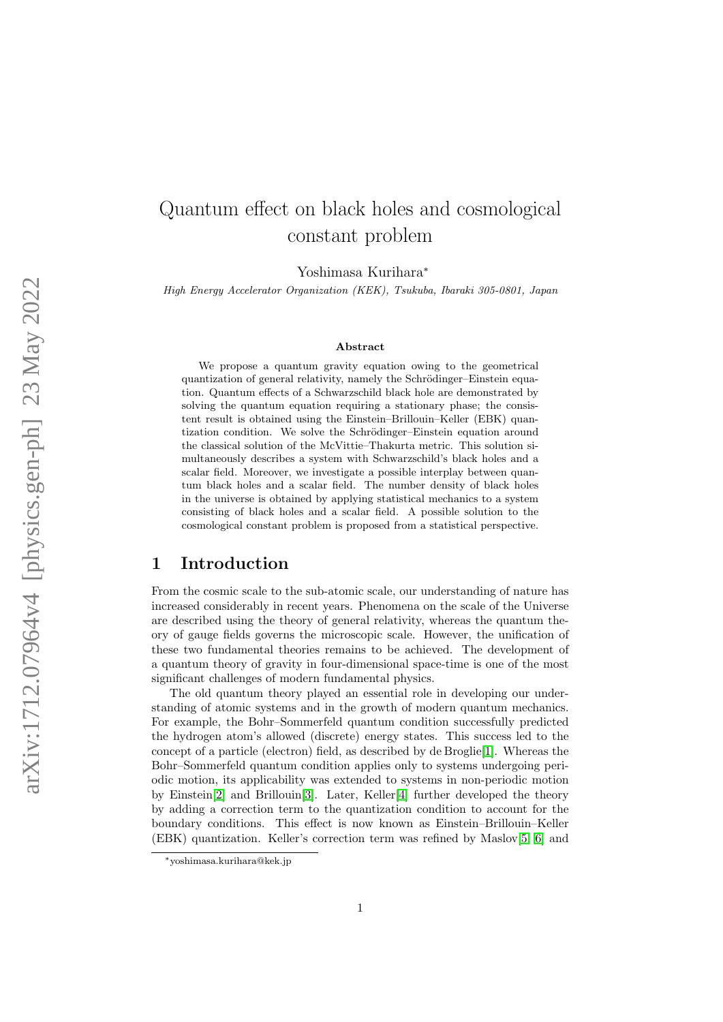# Quantum effect on black holes and cosmological constant problem

Yoshimasa Kurihara<sup>∗</sup>

High Energy Accelerator Organization (KEK), Tsukuba, Ibaraki 305-0801, Japan

#### Abstract

We propose a quantum gravity equation owing to the geometrical quantization of general relativity, namely the Schrödinger–Einstein equation. Quantum effects of a Schwarzschild black hole are demonstrated by solving the quantum equation requiring a stationary phase; the consistent result is obtained using the Einstein–Brillouin–Keller (EBK) quantization condition. We solve the Schrödinger–Einstein equation around the classical solution of the McVittie–Thakurta metric. This solution simultaneously describes a system with Schwarzschild's black holes and a scalar field. Moreover, we investigate a possible interplay between quantum black holes and a scalar field. The number density of black holes in the universe is obtained by applying statistical mechanics to a system consisting of black holes and a scalar field. A possible solution to the cosmological constant problem is proposed from a statistical perspective.

# 1 Introduction

From the cosmic scale to the sub-atomic scale, our understanding of nature has increased considerably in recent years. Phenomena on the scale of the Universe are described using the theory of general relativity, whereas the quantum theory of gauge fields governs the microscopic scale. However, the unification of these two fundamental theories remains to be achieved. The development of a quantum theory of gravity in four-dimensional space-time is one of the most significant challenges of modern fundamental physics.

The old quantum theory played an essential role in developing our understanding of atomic systems and in the growth of modern quantum mechanics. For example, the Bohr–Sommerfeld quantum condition successfully predicted the hydrogen atom's allowed (discrete) energy states. This success led to the concept of a particle (electron) field, as described by de Broglie[\[1\]](#page-21-0). Whereas the Bohr–Sommerfeld quantum condition applies only to systems undergoing periodic motion, its applicability was extended to systems in non-periodic motion by Einstein[\[2\]](#page-21-1) and Brillouin[\[3\]](#page-21-2). Later, Keller[\[4\]](#page-21-3) further developed the theory by adding a correction term to the quantization condition to account for the boundary conditions. This effect is now known as Einstein–Brillouin–Keller (EBK) quantization. Keller's correction term was refined by Maslov[\[5,](#page-21-4) [6\]](#page-21-5) and

<sup>∗</sup>yoshimasa.kurihara@kek.jp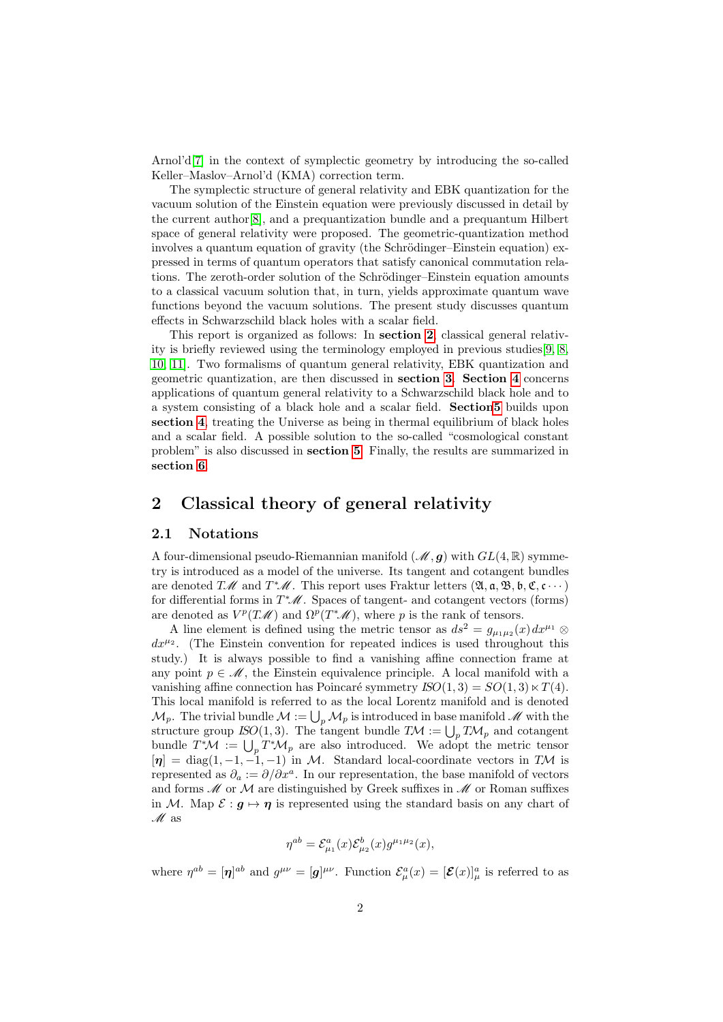Arnol'd[\[7\]](#page-21-6) in the context of symplectic geometry by introducing the so-called Keller–Maslov–Arnol'd (KMA) correction term.

The symplectic structure of general relativity and EBK quantization for the vacuum solution of the Einstein equation were previously discussed in detail by the current author[\[8\]](#page-21-7), and a prequantization bundle and a prequantum Hilbert space of general relativity were proposed. The geometric-quantization method involves a quantum equation of gravity (the Schrödinger–Einstein equation) expressed in terms of quantum operators that satisfy canonical commutation relations. The zeroth-order solution of the Schrödinger–Einstein equation amounts to a classical vacuum solution that, in turn, yields approximate quantum wave functions beyond the vacuum solutions. The present study discusses quantum effects in Schwarzschild black holes with a scalar field.

This report is organized as follows: In section [2](#page-1-0), classical general relativity is briefly reviewed using the terminology employed in previous studies[\[9,](#page-21-8) [8,](#page-21-7) [10,](#page-21-9) [11\]](#page-21-10). Two formalisms of quantum general relativity, EBK quantization and geometric quantization, are then discussed in section [3](#page-3-0). Section [4](#page-8-0) concerns applications of quantum general relativity to a Schwarzschild black hole and to a system consisting of a black hole and a scalar field. Sectio[n5](#page-15-0) builds upon section [4](#page-8-0), treating the Universe as being in thermal equilibrium of black holes and a scalar field. A possible solution to the so-called "cosmological constant problem" is also discussed in section [5](#page-15-0). Finally, the results are summarized in section [6](#page-19-0).

# <span id="page-1-0"></span>2 Classical theory of general relativity

#### 2.1 Notations

A four-dimensional pseudo-Riemannian manifold  $(\mathcal{M}, g)$  with  $GL(4, \mathbb{R})$  symmetry is introduced as a model of the universe. Its tangent and cotangent bundles are denoted TM and  $T^*\mathscr{M}$ . This report uses Fraktur letters  $(\mathfrak{A}, \mathfrak{a}, \mathfrak{B}, \mathfrak{b}, \mathfrak{C}, \mathfrak{c} \cdots)$ for differential forms in  $T^*\mathscr{M}$ . Spaces of tangent- and cotangent vectors (forms) are denoted as  $V^p(T\mathcal{M})$  and  $\Omega^p(T^*\mathcal{M})$ , where p is the rank of tensors.

A line element is defined using the metric tensor as  $ds^2 = g_{\mu_1\mu_2}(x) dx^{\mu_1} \otimes$  $dx^{\mu_2}$ . (The Einstein convention for repeated indices is used throughout this study.) It is always possible to find a vanishing affine connection frame at any point  $p \in \mathcal{M}$ , the Einstein equivalence principle. A local manifold with a vanishing affine connection has Poincaré symmetry  $ISO(1, 3) = SO(1, 3) \times T(4)$ . This local manifold is referred to as the local Lorentz manifold and is denoted  $\mathcal{M}_p$ . The trivial bundle  $\mathcal{M} := \bigcup_p \mathcal{M}_p$  is introduced in base manifold  $\mathcal M$  with the structure group ISO(1,3). The tangent bundle  $T\mathcal{M} := \bigcup_{p} T\mathcal{M}_{p}$  and cotangent bundle  $T^*\mathcal{M} := \bigcup_p T^*\mathcal{M}_p$  are also introduced. We adopt the metric tensor  $[\eta] = \text{diag}(1, -1, -1, -1)$  in M. Standard local-coordinate vectors in TM is represented as  $\partial_a := \partial/\partial x^a$ . In our representation, the base manifold of vectors and forms  $M$  or  $M$  are distinguished by Greek suffixes in  $M$  or Roman suffixes in M. Map  $\mathcal{E}: \mathbf{g} \mapsto \eta$  is represented using the standard basis on any chart of  $\mathcal{M}$  as

$$
\eta^{ab} = \mathcal{E}^a_{\mu_1}(x)\mathcal{E}^b_{\mu_2}(x)g^{\mu_1\mu_2}(x),
$$

where  $\eta^{ab} = [\eta]^{ab}$  and  $g^{\mu\nu} = [g]^{\mu\nu}$ . Function  $\mathcal{E}_{\mu}^{a}(x) = [\mathcal{E}(x)]_{\mu}^{a}$  is referred to as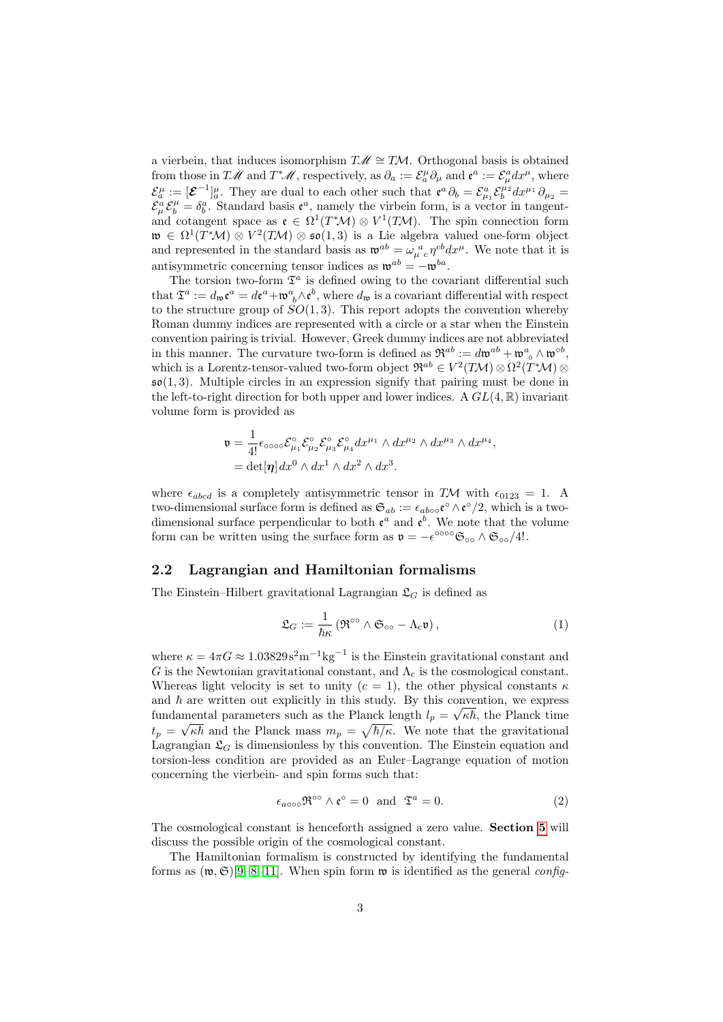a vierbein, that induces isomorphism  $T\mathscr{M} \cong T\mathcal{M}$ . Orthogonal basis is obtained from those in TM and  $T^*\mathscr{M}$ , respectively, as  $\partial_a := \mathcal{E}_a^{\mu} \partial_{\mu}$  and  $\mathfrak{e}^a := \mathcal{E}_\mu^a dx^{\mu}$ , where  $\mathcal{E}_{a}^{\mu} := [\mathcal{E}^{-1}]_{a}^{\mu}$ . They are dual to each other such that  $\mathfrak{e}^{a} \partial_{b} = \mathcal{E}_{\mu_{1}}^{a} \mathcal{E}_{b}^{\mu_{2}} dx^{\mu_{1}} \partial_{\mu_{2}} =$  $\mathcal{E}_{\mu}^{\alpha} \mathcal{E}_{b}^{\mu} = \delta_{b}^{\alpha}$ . Standard basis  $\mathfrak{e}^{\alpha}$ , namely the virbein form, is a vector in tangentand cotangent space as  $\mathfrak{e} \in \Omega^1(T^*\mathcal{M}) \otimes V^1(T\mathcal{M})$ . The spin connection form  $\mathfrak{w} \in \Omega^1(T^*\mathcal{M}) \otimes V^2(T\mathcal{M}) \otimes \mathfrak{so}(1,3)$  is a Lie algebra valued one-form object and represented in the standard basis as  $\mathfrak{w}^{ab} = \omega_{\mu}^{\ a}{}_{c} \eta^{cb} dx^{\mu}$ . We note that it is antisymmetric concerning tensor indices as  $\mathfrak{w}^{ab} = -\mathfrak{w}^{ba}$ .

The torsion two-form  $\mathfrak{T}^a$  is defined owing to the covariant differential such that  $\mathfrak{T}^a := d_{\mathfrak{w}} \mathfrak{e}^a = d\mathfrak{e}^a + \mathfrak{w}^a{}_b \wedge \mathfrak{e}^b$ , where  $d_{\mathfrak{w}}$  is a covariant differential with respect to the structure group of  $SO(1,3)$ . This report adopts the convention whereby Roman dummy indices are represented with a circle or a star when the Einstein convention pairing is trivial. However, Greek dummy indices are not abbreviated in this manner. The curvature two-form is defined as  $\mathfrak{R}^{ab} := d\mathfrak{w}^{ab} + \mathfrak{w}^a \circ \wedge \mathfrak{w}^{ob}$ , which is a Lorentz-tensor-valued two-form object  $\mathfrak{R}^{ab} \in V^2(TM) \otimes \Omega^2(T^*\mathcal{M}) \otimes$  $\mathfrak{so}(1,3)$ . Multiple circles in an expression signify that pairing must be done in the left-to-right direction for both upper and lower indices. A  $GL(4,\mathbb{R})$  invariant volume form is provided as

$$
\mathfrak{v} = \frac{1}{4!} \epsilon_{\text{0000}} \mathcal{E}_{\mu_1}^{\circ} \mathcal{E}_{\mu_2}^{\circ} \mathcal{E}_{\mu_3}^{\circ} \mathcal{E}_{\mu_4}^{\circ} dx^{\mu_1} \wedge dx^{\mu_2} \wedge dx^{\mu_3} \wedge dx^{\mu_4},
$$
  
= det[\boldsymbol{\eta}] dx^0 \wedge dx^1 \wedge dx^2 \wedge dx^3.

where  $\epsilon_{abcd}$  is a completely antisymmetric tensor in TM with  $\epsilon_{0123} = 1$ . A two-dimensional surface form is defined as  $\mathfrak{S}_{ab} := \epsilon_{ab \circ \circ} \mathfrak{e}^{\circ} \wedge \mathfrak{e}^{\circ}/2$ , which is a twodimensional surface perpendicular to both  $\mathfrak{e}^a$  and  $\mathfrak{e}^b$ . We note that the volume form can be written using the surface form as  $\mathfrak{v} = -\epsilon^{\circ \circ \circ \circ} \mathfrak{S}_{\circ \circ} \wedge \mathfrak{S}_{\circ \circ}/4!$ .

#### 2.2 Lagrangian and Hamiltonian formalisms

The Einstein–Hilbert gravitational Lagrangian  $\mathfrak{L}_G$  is defined as

$$
\mathfrak{L}_G := \frac{1}{\hbar \kappa} \left( \mathfrak{R}^{\circ \circ} \wedge \mathfrak{S}_{\circ \circ} - \Lambda_c \mathfrak{v} \right), \tag{1}
$$

where  $\kappa = 4\pi G \approx 1.03829 \text{s}^2 \text{m}^{-1} \text{kg}^{-1}$  is the Einstein gravitational constant and G is the Newtonian gravitational constant, and  $\Lambda_c$  is the cosmological constant. Whereas light velocity is set to unity  $(c = 1)$ , the other physical constants  $\kappa$ and  $h$  are written out explicitly in this study. By this convention, we express fundamental parameters such as the Planck length  $l_p = \sqrt{\kappa \hbar}$ , the Planck time  $t_p = \sqrt{\kappa \hbar}$  and the Planck mass  $m_p = \sqrt{\hbar/\kappa}$ . We note that the gravitational Lagrangian  $\mathfrak{L}_G$  is dimensionless by this convention. The Einstein equation and torsion-less condition are provided as an Euler–Lagrange equation of motion concerning the vierbein- and spin forms such that:

$$
\epsilon_{a\circ\circ\circ}\mathfrak{R}^{\circ\circ} \wedge \mathfrak{e}^{\circ} = 0 \quad \text{and} \quad \mathfrak{T}^{a} = 0. \tag{2}
$$

The cosmological constant is henceforth assigned a zero value. Section [5](#page-15-0) will discuss the possible origin of the cosmological constant.

The Hamiltonian formalism is constructed by identifying the fundamental forms as  $(\mathfrak{w}, \mathfrak{S})[9, 8, 11]$  $(\mathfrak{w}, \mathfrak{S})[9, 8, 11]$  $(\mathfrak{w}, \mathfrak{S})[9, 8, 11]$  $(\mathfrak{w}, \mathfrak{S})[9, 8, 11]$ . When spin form  $\mathfrak{w}$  is identified as the general config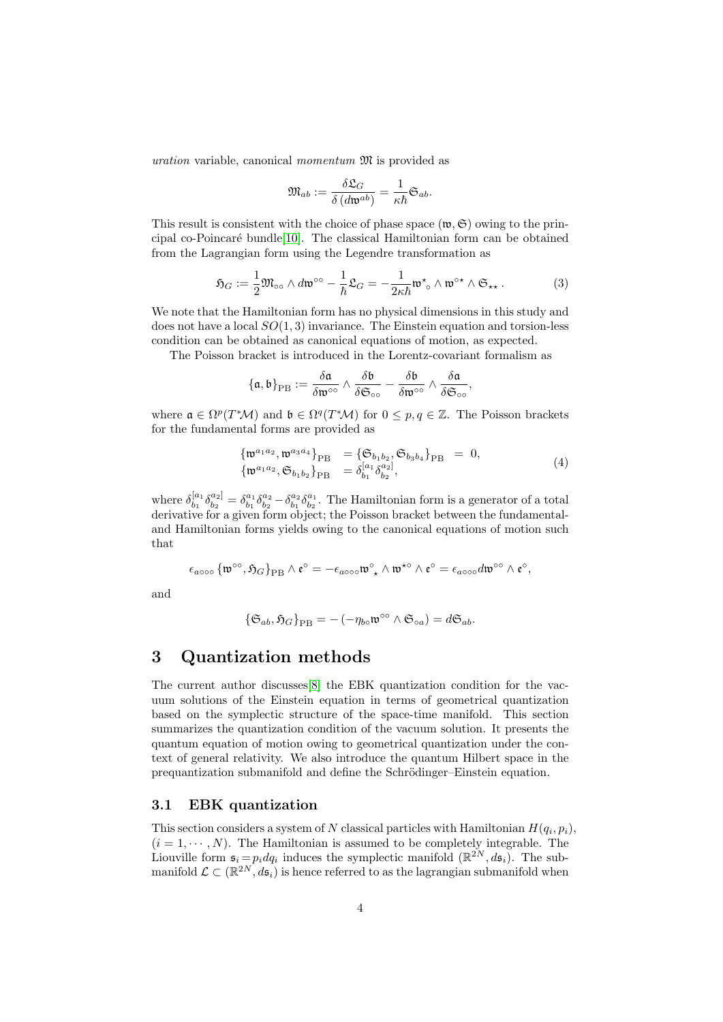uration variable, canonical *momentum*  $\mathfrak{M}$  is provided as

<span id="page-3-2"></span>
$$
\mathfrak{M}_{ab}:=\frac{\delta\mathfrak{L}_G}{\delta\left(d\mathfrak{w}^{ab}\right)}=\frac{1}{\kappa\hbar}\mathfrak{S}_{ab}.
$$

This result is consistent with the choice of phase space  $(\mathfrak{w}, \mathfrak{S})$  owing to the principal co-Poincar´e bundle[\[10\]](#page-21-9). The classical Hamiltonian form can be obtained from the Lagrangian form using the Legendre transformation as

$$
\mathfrak{H}_G := \frac{1}{2} \mathfrak{M}_{\circ \circ} \wedge d\mathfrak{w}^{\circ \circ} - \frac{1}{\hbar} \mathfrak{L}_G = -\frac{1}{2\kappa \hbar} \mathfrak{w}^{\star}{}_{\circ} \wedge \mathfrak{w}^{\circ \star} \wedge \mathfrak{S}_{\star \star} \,. \tag{3}
$$

We note that the Hamiltonian form has no physical dimensions in this study and does not have a local  $SO(1,3)$  invariance. The Einstein equation and torsion-less condition can be obtained as canonical equations of motion, as expected.

The Poisson bracket is introduced in the Lorentz-covariant formalism as

$$
\{\mathfrak{a},\mathfrak{b}\}_{\rm PB}:=\frac{\delta \mathfrak{a}}{\delta \mathfrak{w}^{\circ\circ}}\wedge \frac{\delta \mathfrak{b}}{\delta \mathfrak{S}_{\circ\circ}}-\frac{\delta \mathfrak{b}}{\delta \mathfrak{w}^{\circ\circ}}\wedge \frac{\delta \mathfrak{a}}{\delta \mathfrak{S}_{\circ\circ}},
$$

where  $\mathfrak{a} \in \Omega^p(T^*\mathcal{M})$  and  $\mathfrak{b} \in \Omega^q(T^*\mathcal{M})$  for  $0 \leq p, q \in \mathbb{Z}$ . The Poisson brackets for the fundamental forms are provided as

<span id="page-3-1"></span>
$$
\begin{aligned}\n\{\mathfrak{w}^{a_1 a_2}, \mathfrak{w}^{a_3 a_4}\}_{\text{PB}} &= \{\mathfrak{S}_{b_1 b_2}, \mathfrak{S}_{b_3 b_4}\}_{\text{PB}} = 0, \\
\{\mathfrak{w}^{a_1 a_2}, \mathfrak{S}_{b_1 b_2}\}_{\text{PB}} &= \delta_{b_1}^{[a_1} \delta_{b_2}^{a_2]},\n\end{aligned} \tag{4}
$$

where  $\delta_{h_1}^{[a_1]}$  $\stackrel{[a_1}{b_1} \delta^{a_2]}_{b_2}$  $\delta_{b_2}^{a_2} = \delta_{b_1}^{a_1} \delta_{b_2}^{a_2} - \delta_{b_1}^{a_2} \delta_{b_2}^{a_1}$ . The Hamiltonian form is a generator of a total derivative for a given form object; the Poisson bracket between the fundamentaland Hamiltonian forms yields owing to the canonical equations of motion such that

$$
\epsilon_{a\circ\circ\circ} \left\{ \mathfrak{w}^{\circ\circ}, \mathfrak{H}_G \right\}_{\rm PB} \wedge \mathfrak{e}^{\circ} = - \epsilon_{a\circ\circ\circ} \mathfrak{w}^{\circ}_{\ \star} \wedge \mathfrak{w}^{\star\circ} \wedge \mathfrak{e}^{\circ} = \epsilon_{a\circ\circ\circ} d \mathfrak{w}^{\circ\circ} \wedge \mathfrak{e}^{\circ},
$$

and

$$
\{\mathfrak{S}_{ab},\mathfrak{H}_G\}_{\rm PB}=-\left(-\eta_{b\circ}\mathfrak{w}^{\circ\circ}\wedge\mathfrak{S}_{\circ a}\right)=d\mathfrak{S}_{ab}.
$$

# <span id="page-3-0"></span>3 Quantization methods

The current author discusses[\[8\]](#page-21-7) the EBK quantization condition for the vacuum solutions of the Einstein equation in terms of geometrical quantization based on the symplectic structure of the space-time manifold. This section summarizes the quantization condition of the vacuum solution. It presents the quantum equation of motion owing to geometrical quantization under the context of general relativity. We also introduce the quantum Hilbert space in the prequantization submanifold and define the Schrödinger–Einstein equation.

#### 3.1 EBK quantization

This section considers a system of N classical particles with Hamiltonian  $H(q_i, p_i)$ ,  $(i = 1, \dots, N)$ . The Hamiltonian is assumed to be completely integrable. The Liouville form  $\mathfrak{s}_i = p_i dq_i$  induces the symplectic manifold  $(\mathbb{R}^{2N}, d\mathfrak{s}_i)$ . The submanifold  $\mathcal{L} \subset (\mathbb{R}^{2N}, d\mathfrak{s}_i)$  is hence referred to as the lagrangian submanifold when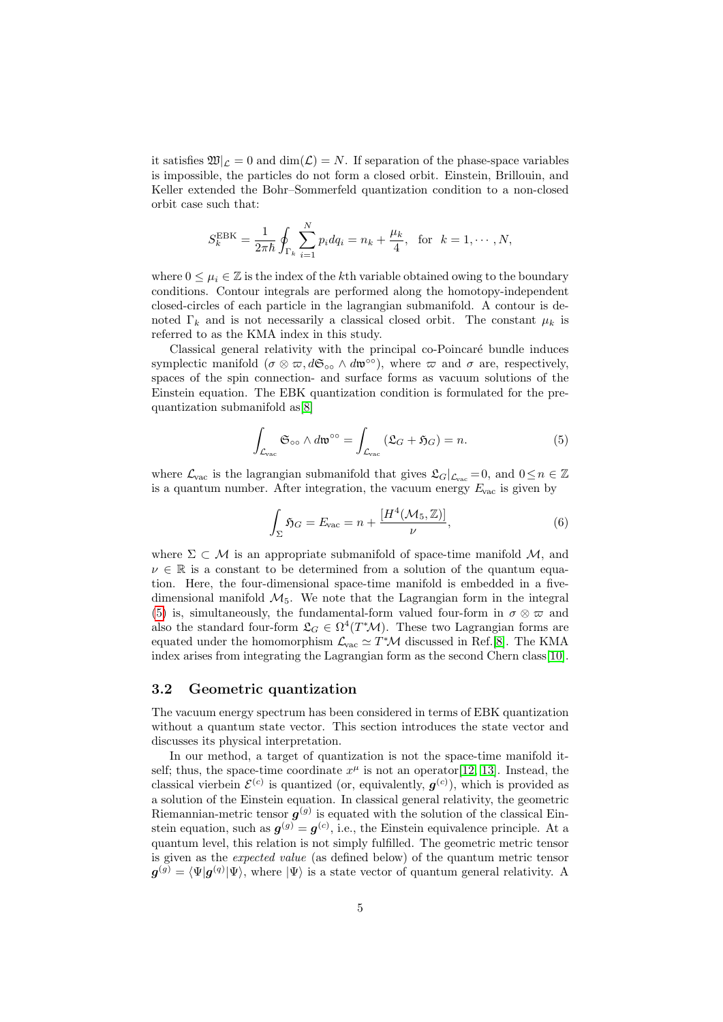it satisfies  $\mathfrak{W}|_{\mathcal{L}} = 0$  and  $\dim(\mathcal{L}) = N$ . If separation of the phase-space variables is impossible, the particles do not form a closed orbit. Einstein, Brillouin, and Keller extended the Bohr–Sommerfeld quantization condition to a non-closed orbit case such that:

$$
S_k^{\text{EBK}} = \frac{1}{2\pi\hbar} \oint_{\Gamma_k} \sum_{i=1}^N p_i dq_i = n_k + \frac{\mu_k}{4}, \text{ for } k = 1, \cdots, N,
$$

where  $0 \leq \mu_i \in \mathbb{Z}$  is the index of the kth variable obtained owing to the boundary conditions. Contour integrals are performed along the homotopy-independent closed-circles of each particle in the lagrangian submanifold. A contour is denoted  $\Gamma_k$  and is not necessarily a classical closed orbit. The constant  $\mu_k$  is referred to as the KMA index in this study.

Classical general relativity with the principal co-Poincaré bundle induces symplectic manifold  $(\sigma \otimes \pi, d\mathfrak{S}_{\infty} \wedge d\mathfrak{w}^{\infty})$ , where  $\pi$  and  $\sigma$  are, respectively, spaces of the spin connection- and surface forms as vacuum solutions of the Einstein equation. The EBK quantization condition is formulated for the prequantization submanifold as[\[8\]](#page-21-7)

$$
\int_{\mathcal{L}_{\text{vac}}} \mathfrak{S}_{\infty} \wedge d\mathfrak{w}^{\infty} = \int_{\mathcal{L}_{\text{vac}}} (\mathfrak{L}_G + \mathfrak{H}_G) = n.
$$
 (5)

where  $\mathcal{L}_{\text{vac}}$  is the lagrangian submanifold that gives  $\mathcal{L}_{G}|_{\mathcal{L}_{\text{vac}}} = 0$ , and  $0 \leq n \in \mathbb{Z}$ is a quantum number. After integration, the vacuum energy  $E_{\text{vac}}$  is given by

<span id="page-4-1"></span><span id="page-4-0"></span>
$$
\int_{\Sigma} \mathfrak{H}_G = E_{\text{vac}} = n + \frac{[H^4(\mathcal{M}_5, \mathbb{Z})]}{\nu},\tag{6}
$$

where  $\Sigma \subset \mathcal{M}$  is an appropriate submanifold of space-time manifold  $\mathcal{M}$ , and  $\nu \in \mathbb{R}$  is a constant to be determined from a solution of the quantum equation. Here, the four-dimensional space-time manifold is embedded in a fivedimensional manifold  $\mathcal{M}_5$ . We note that the Lagrangian form in the integral [\(5\)](#page-4-0) is, simultaneously, the fundamental-form valued four-form in  $\sigma \otimes \varpi$  and also the standard four-form  $\mathfrak{L}_G \in \Omega^4(T^*\mathcal{M})$ . These two Lagrangian forms are equated under the homomorphism  $\mathcal{L}_{\text{vac}} \simeq T^* \mathcal{M}$  discussed in Ref.[\[8\]](#page-21-7). The KMA index arises from integrating the Lagrangian form as the second Chern class[\[10\]](#page-21-9).

#### 3.2 Geometric quantization

The vacuum energy spectrum has been considered in terms of EBK quantization without a quantum state vector. This section introduces the state vector and discusses its physical interpretation.

In our method, a target of quantization is not the space-time manifold itself; thus, the space-time coordinate  $x^{\mu}$  is not an operator [\[12,](#page-21-11) [13\]](#page-21-12). Instead, the classical vierbein  $\mathcal{E}^{(c)}$  is quantized (or, equivalently,  $g^{(c)}$ ), which is provided as a solution of the Einstein equation. In classical general relativity, the geometric Riemannian-metric tensor  $g^{(g)}$  is equated with the solution of the classical Einstein equation, such as  $g^{(g)} = g^{(c)}$ , i.e., the Einstein equivalence principle. At a quantum level, this relation is not simply fulfilled. The geometric metric tensor is given as the expected value (as defined below) of the quantum metric tensor  $g^{(g)} = \langle \Psi | g^{(q)} | \Psi \rangle$ , where  $| \Psi \rangle$  is a state vector of quantum general relativity. A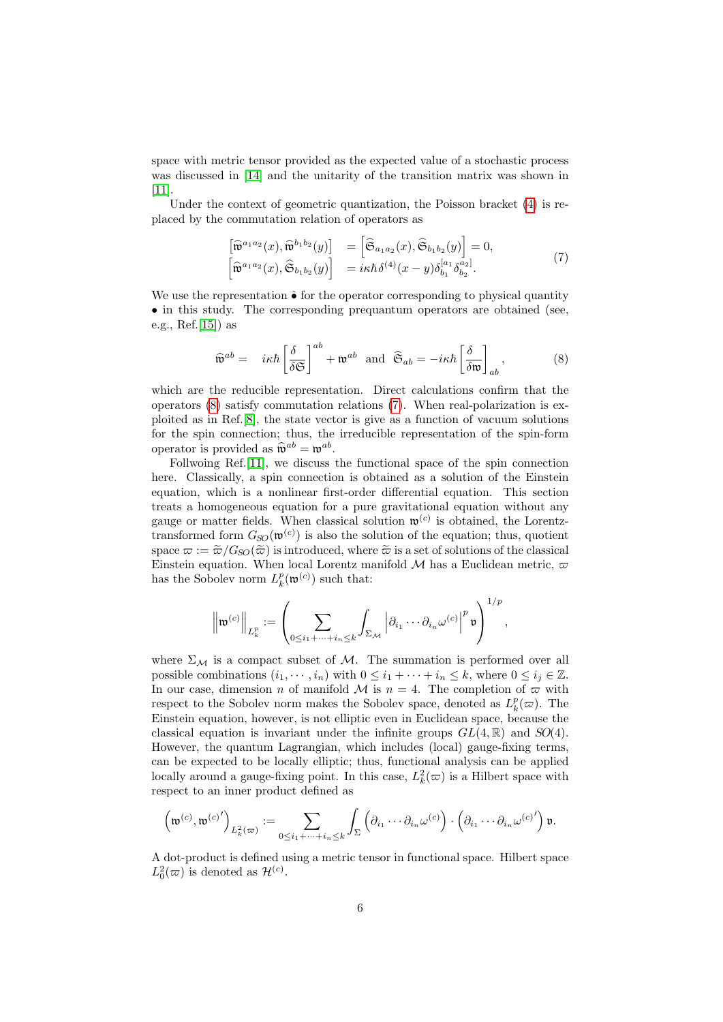space with metric tensor provided as the expected value of a stochastic process was discussed in [\[14\]](#page-21-13) and the unitarity of the transition matrix was shown in [\[11\]](#page-21-10).

Under the context of geometric quantization, the Poisson bracket [\(4\)](#page-3-1) is replaced by the commutation relation of operators as

<span id="page-5-1"></span>
$$
\begin{bmatrix}\n\widehat{\mathfrak{w}}^{a_1 a_2}(x), \widehat{\mathfrak{w}}^{b_1 b_2}(y)\n\end{bmatrix} = \n\begin{bmatrix}\n\widehat{\mathfrak{S}}_{a_1 a_2}(x), \widehat{\mathfrak{S}}_{b_1 b_2}(y)\n\end{bmatrix} = 0,
$$
\n
$$
\begin{bmatrix}\n\widehat{\mathfrak{w}}^{a_1 a_2}(x), \widehat{\mathfrak{S}}_{b_1 b_2}(y)\n\end{bmatrix} = i\kappa \hbar \delta^{(4)}(x - y) \delta^{[a_1}_{b_1} \delta^{a_2]}_{b_2}.
$$
\n(7)

We use the representation  $\hat{\bullet}$  for the operator corresponding to physical quantity • in this study. The corresponding prequantum operators are obtained (see, e.g., Ref.[\[15\]](#page-22-0)) as

<span id="page-5-0"></span>
$$
\widehat{\mathfrak{w}}^{ab} = i\kappa\hbar \left[ \frac{\delta}{\delta \mathfrak{S}} \right]^{ab} + \mathfrak{w}^{ab} \text{ and } \widehat{\mathfrak{S}}_{ab} = -i\kappa\hbar \left[ \frac{\delta}{\delta \mathfrak{w}} \right]_{ab},\tag{8}
$$

which are the reducible representation. Direct calculations confirm that the operators [\(8\)](#page-5-0) satisfy commutation relations [\(7\)](#page-5-1). When real-polarization is exploited as in Ref.[\[8\]](#page-21-7), the state vector is give as a function of vacuum solutions for the spin connection; thus, the irreducible representation of the spin-form operator is provided as  $\widehat{\mathfrak{w}}^{ab} = \mathfrak{w}^{ab}$ .<br>
Estimates Bef [11], we discuss

Follwoing Ref.[\[11\]](#page-21-10), we discuss the functional space of the spin connection here. Classically, a spin connection is obtained as a solution of the Einstein equation, which is a nonlinear first-order differential equation. This section treats a homogeneous equation for a pure gravitational equation without any gauge or matter fields. When classical solution  $\mathfrak{w}^{(c)}$  is obtained, the Lorentztransformed form  $G_{SO}(\mathfrak{w}^{(c)})$  is also the solution of the equation; thus, quotient space  $\varpi := \widetilde{\varpi}/G_{SO}(\widetilde{\varpi})$  is introduced, where  $\widetilde{\varpi}$  is a set of solutions of the classical Einstein equation. When local Lorentz manifold M has a Euclidean metric,  $\varpi$ has the Sobolev norm  $L_k^p(\mathfrak{w}^{(c)})$  such that:

$$
\left\|\mathfrak{w}^{(c)}\right\|_{L^p_k} := \left(\sum_{0 \leq i_1 + \dots + i_n \leq k} \int_{\Sigma_{\mathcal{M}}} \left|\partial_{i_1} \dots \partial_{i_n} \omega^{(c)}\right|^p \mathfrak{v}\right)^{1/p},
$$

where  $\Sigma_M$  is a compact subset of M. The summation is performed over all possible combinations  $(i_1, \dots, i_n)$  with  $0 \leq i_1 + \dots + i_n \leq k$ , where  $0 \leq i_j \in \mathbb{Z}$ . In our case, dimension n of manifold M is  $n = 4$ . The completion of  $\varpi$  with respect to the Sobolev norm makes the Sobolev space, denoted as  $L_k^p(\omega)$ . The Einstein equation, however, is not elliptic even in Euclidean space, because the classical equation is invariant under the infinite groups  $GL(4, \mathbb{R})$  and  $SO(4)$ . However, the quantum Lagrangian, which includes (local) gauge-fixing terms, can be expected to be locally elliptic; thus, functional analysis can be applied locally around a gauge-fixing point. In this case,  $L_k^2(\varpi)$  is a Hilbert space with respect to an inner product defined as

$$
\left(\mathfrak{w}^{(c)},\mathfrak{w}^{(c)'}\right)_{L^2_k(\varpi)} := \sum_{0 \leq i_1 + \dots + i_n \leq k} \int_{\Sigma} \left(\partial_{i_1} \dots \partial_{i_n} \omega^{(c)}\right) \cdot \left(\partial_{i_1} \dots \partial_{i_n} \omega^{(c)'}\right) \mathfrak{v}.
$$

A dot-product is defined using a metric tensor in functional space. Hilbert space  $L_0^2(\varpi)$  is denoted as  $\mathcal{H}^{(c)}$ .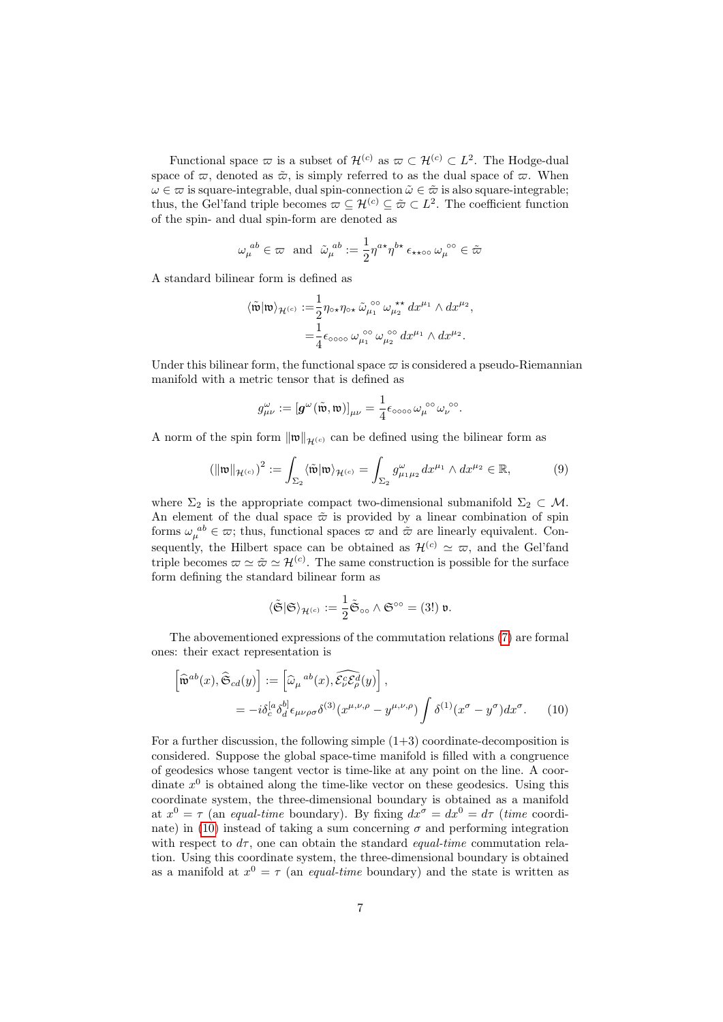Functional space  $\varpi$  is a subset of  $\mathcal{H}^{(c)}$  as  $\varpi \subset \mathcal{H}^{(c)} \subset L^2$ . The Hodge-dual space of  $\varpi$ , denoted as  $\tilde{\varpi}$ , is simply referred to as the dual space of  $\varpi$ . When  $\omega \in \overline{\omega}$  is square-integrable, dual spin-connection  $\tilde{\omega} \in \tilde{\omega}$  is also square-integrable; thus, the Gel'fand triple becomes  $\varpi \subseteq \mathcal{H}^{(c)} \subseteq \tilde{\varpi} \subset L^2$ . The coefficient function of the spin- and dual spin-form are denoted as

$$
\omega_\mu^{~ab} \in \varpi ~~\text{and}~~\tilde{\omega}_\mu^{~ab} := \frac{1}{2} \eta^{a \star} \eta^{b \star} \, \epsilon_{\star \star \circ \circ} \, \omega_\mu^{~\circ \circ} \in \tilde{\varpi}
$$

A standard bilinear form is defined as

$$
\begin{aligned} \langle \tilde{\mathfrak{w}}|\mathfrak{w}\rangle_{\mathcal{H}^{(c)}} := & \frac{1}{2}\eta_{\circ \star}\eta_{\circ \star}\,\tilde{\omega}_{\mu_1}^{\,\circ\circ}\,\omega_{\mu_2}^{\,\star\star}\,dx^{\mu_1}\wedge dx^{\mu_2}, \\ & = \frac{1}{4}\epsilon_{\circ\circ\circ\circ}\,\omega_{\mu_1}^{\,\circ\circ}\,\omega_{\mu_2}^{\,\circ\circ}\,dx^{\mu_1}\wedge dx^{\mu_2}. \end{aligned}
$$

Under this bilinear form, the functional space  $\varpi$  is considered a pseudo-Riemannian manifold with a metric tensor that is defined as

<span id="page-6-1"></span>
$$
g_{\mu\nu}^{\omega} := \left[\mathbf{g}^{\omega}(\tilde{\mathfrak{w}}, \mathfrak{w})\right]_{\mu\nu} = \frac{1}{4} \epsilon_{\text{0000}} \omega_{\mu}^{\text{00}} \omega_{\nu}^{\text{00}}.
$$

A norm of the spin form  $\|\mathfrak{w}\|_{\mathcal{H}^{(c)}}$  can be defined using the bilinear form as

$$
(\|\mathfrak{w}\|_{\mathcal{H}^{(c)}})^2 := \int_{\Sigma_2} \langle \tilde{\mathfrak{w}} | \mathfrak{w} \rangle_{\mathcal{H}^{(c)}} = \int_{\Sigma_2} g_{\mu_1 \mu_2}^{\omega} dx^{\mu_1} \wedge dx^{\mu_2} \in \mathbb{R},\tag{9}
$$

where  $\Sigma_2$  is the appropriate compact two-dimensional submanifold  $\Sigma_2 \subset \mathcal{M}$ . An element of the dual space  $\tilde{\varpi}$  is provided by a linear combination of spin forms  $\omega_{\mu}^{ab} \in \varpi$ ; thus, functional spaces  $\varpi$  and  $\tilde{\varpi}$  are linearly equivalent. Consequently, the Hilbert space can be obtained as  $\mathcal{H}^{(c)} \simeq \varpi$ , and the Gel'fand triple becomes  $\varpi \simeq \tilde{\varpi} \simeq \mathcal{H}^{(c)}$ . The same construction is possible for the surface form defining the standard bilinear form as

<span id="page-6-0"></span>
$$
\langle \tilde{\mathfrak{S}} | \mathfrak{S} \rangle_{\mathcal{H}^{(c)}} := \frac{1}{2} \tilde{\mathfrak{S}}_{\circ \circ} \wedge \mathfrak{S}^{\circ \circ} = (3!) \mathfrak{v}.
$$

The abovementioned expressions of the commutation relations [\(7\)](#page-5-1) are formal ones: their exact representation is

$$
\begin{aligned}\n\left[\widehat{\mathfrak{w}}^{ab}(x), \widehat{\mathfrak{S}}_{cd}(y)\right] &:= \left[\widehat{\omega}_{\mu}{}^{ab}(x), \widehat{\mathcal{E}}_{\nu}^{\mathcal{E}} \widehat{\mathcal{E}}_{\rho}^{d}(y)\right], \\
&= -i\delta_{c}^{[a}\delta_{d}^{b]} \epsilon_{\mu\nu\rho\sigma} \delta^{(3)}(x^{\mu,\nu,\rho} - y^{\mu,\nu,\rho}) \int \delta^{(1)}(x^{\sigma} - y^{\sigma}) dx^{\sigma}.\n\end{aligned} \tag{10}
$$

For a further discussion, the following simple  $(1+3)$  coordinate-decomposition is considered. Suppose the global space-time manifold is filled with a congruence of geodesics whose tangent vector is time-like at any point on the line. A coordinate  $x^0$  is obtained along the time-like vector on these geodesics. Using this coordinate system, the three-dimensional boundary is obtained as a manifold at  $x^0 = \tau$  (an equal-time boundary). By fixing  $dx^{\sigma} = dx^0 = d\tau$  (time coordi-nate) in [\(10\)](#page-6-0) instead of taking a sum concerning  $\sigma$  and performing integration with respect to  $d\tau$ , one can obtain the standard *equal-time* commutation relation. Using this coordinate system, the three-dimensional boundary is obtained as a manifold at  $x^0 = \tau$  (an *equal-time* boundary) and the state is written as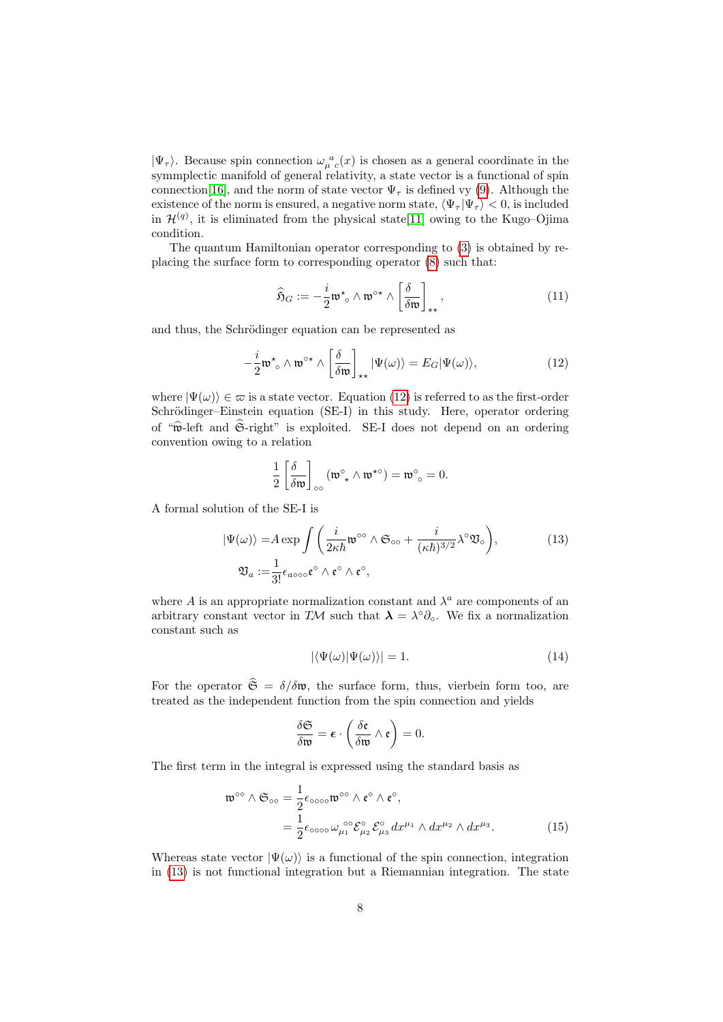$|\Psi_{\tau}\rangle$ . Because spin connection  $\omega_{\mu}^{\ a}(x)$  is chosen as a general coordinate in the symmplectic manifold of general relativity, a state vector is a functional of spin connection [\[16\]](#page-22-1), and the norm of state vector  $\Psi_{\tau}$  is defined vy [\(9\)](#page-6-1). Although the existence of the norm is ensured, a negative norm state,  $\langle \Psi_\tau | \Psi_\tau \rangle < 0$ , is included in  $\mathcal{H}^{(q)}$ , it is eliminated from the physical state[\[11\]](#page-21-10) owing to the Kugo–Ojima condition.

The quantum Hamiltonian operator corresponding to [\(3\)](#page-3-2) is obtained by replacing the surface form to corresponding operator [\(8\)](#page-5-0) such that:

<span id="page-7-0"></span>
$$
\widehat{\mathfrak{H}}_G := -\frac{i}{2} \mathfrak{w}^\star \circ \wedge \mathfrak{w}^{\circ \star} \wedge \left[\frac{\delta}{\delta \mathfrak{w}}\right]_{\star \star},\tag{11}
$$

and thus, the Schrödinger equation can be represented as

$$
-\frac{i}{2}\mathfrak{w}^{\star}{}_{\circ}\wedge\mathfrak{w}^{\circ\star}\wedge\left[\frac{\delta}{\delta\mathfrak{w}}\right]_{\star\star}|\Psi(\omega)\rangle=E_{G}|\Psi(\omega)\rangle,
$$
\n(12)

where  $|\Psi(\omega)\rangle \in \varpi$  is a state vector. Equation [\(12\)](#page-7-0) is referred to as the first-order Schrödinger–Einstein equation (SE-I) in this study. Here, operator ordering of " $\hat{\mathbf{w}}$ -left and  $\hat{\mathfrak{S}}$ -right" is exploited. SE-I does not depend on an ordering convention owing to a relation

$$
\frac{1}{2} \left[ \frac{\delta}{\delta \mathfrak{w}} \right]_{\infty} (\mathfrak{w}^{\circ} \wedge \mathfrak{w}^{\star \circ}) = \mathfrak{w}^{\circ}{}_{\circ} = 0.
$$

A formal solution of the SE-I is

$$
|\Psi(\omega)\rangle = A \exp \int \left(\frac{i}{2\kappa\hbar} \mathfrak{w}^{\circ\circ} \wedge \mathfrak{S}_{\circ\circ} + \frac{i}{(\kappa\hbar)^{3/2}} \lambda^{\circ} \mathfrak{V}_{\circ}\right),
$$
  

$$
\mathfrak{V}_{a} := \frac{1}{3!} \epsilon_{a\circ\circ\circ} \mathfrak{e}^{\circ} \wedge \mathfrak{e}^{\circ} \wedge \mathfrak{e}^{\circ},
$$
 (13)

where A is an appropriate normalization constant and  $\lambda^a$  are components of an arbitrary constant vector in TM such that  $\lambda = \lambda^{\circ} \partial_{\circ}$ . We fix a normalization constant such as

<span id="page-7-2"></span><span id="page-7-1"></span>
$$
|\langle \Psi(\omega)|\Psi(\omega)\rangle| = 1.
$$
\n(14)

For the operator  $\hat{\mathfrak{S}} = \delta/\delta \mathfrak{w}$ , the surface form, thus, vierbein form too, are treated as the independent function from the spin connection and yields

$$
\frac{\delta \mathfrak{S}}{\delta \mathfrak{w}} = \boldsymbol{\epsilon} \cdot \left( \frac{\delta \mathfrak{e}}{\delta \mathfrak{w}} \wedge \mathfrak{e} \right) = 0.
$$

The first term in the integral is expressed using the standard basis as

$$
\mathfrak{w}^{\circ\circ} \wedge \mathfrak{S}_{\circ\circ} = \frac{1}{2} \epsilon_{\circ\circ\circ\circ} \mathfrak{w}^{\circ\circ} \wedge \mathfrak{e}^{\circ} \wedge \mathfrak{e}^{\circ},
$$
  

$$
= \frac{1}{2} \epsilon_{\circ\circ\circ\circ} \omega_{\mu_1}^{\circ\circ} \mathcal{E}_{\mu_2}^{\circ} \mathcal{E}_{\mu_3}^{\circ} dx^{\mu_1} \wedge dx^{\mu_2} \wedge dx^{\mu_3}.
$$
 (15)

Whereas state vector  $|\Psi(\omega)\rangle$  is a functional of the spin connection, integration in [\(13\)](#page-7-1) is not functional integration but a Riemannian integration. The state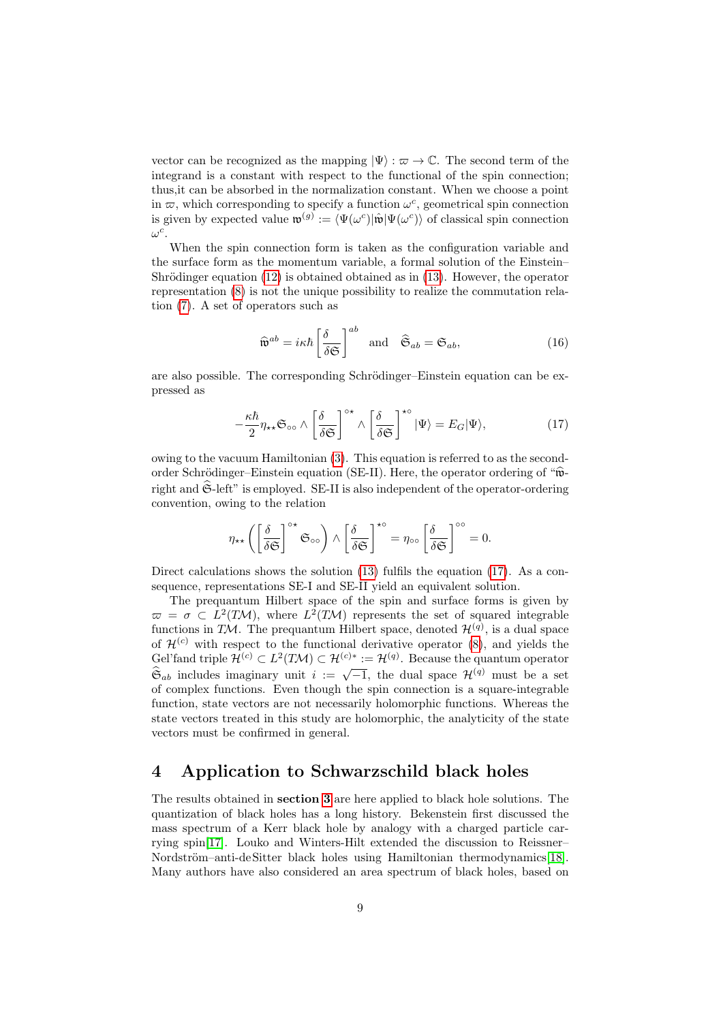vector can be recognized as the mapping  $|\Psi\rangle : \varpi \to \mathbb{C}$ . The second term of the integrand is a constant with respect to the functional of the spin connection; thus,it can be absorbed in the normalization constant. When we choose a point in  $\varpi$ , which corresponding to specify a function  $\omega^c$ , geometrical spin connection is given by expected value  $\mathfrak{w}^{(g)} := \langle \Psi(\omega^c) | \hat{\mathfrak{w}} | \Psi(\omega^c) \rangle$  of classical spin connection  $\omega^c$ .

When the spin connection form is taken as the configuration variable and the surface form as the momentum variable, a formal solution of the Einstein– Shrödinger equation  $(12)$  is obtained obtained as in  $(13)$ . However, the operator representation [\(8\)](#page-5-0) is not the unique possibility to realize the commutation relation [\(7\)](#page-5-1). A set of operators such as

<span id="page-8-1"></span>
$$
\widehat{\mathbf{w}}^{ab} = i\kappa\hbar \left[ \frac{\delta}{\delta \mathfrak{S}} \right]^{ab} \quad \text{and} \quad \widehat{\mathfrak{S}}_{ab} = \mathfrak{S}_{ab},\tag{16}
$$

are also possible. The corresponding Schrödinger–Einstein equation can be expressed as

$$
-\frac{\kappa\hbar}{2}\eta_{\star\star}\mathfrak{S}_{\infty}\wedge\left[\frac{\delta}{\delta\mathfrak{S}}\right]^{\circ\star}\wedge\left[\frac{\delta}{\delta\mathfrak{S}}\right]^{\star\circ}|\Psi\rangle=E_G|\Psi\rangle,\tag{17}
$$

owing to the vacuum Hamiltonian [\(3\)](#page-3-2). This equation is referred to as the secondorder Schrödinger–Einstein equation (SE-II). Here, the operator ordering of " $\hat{\mathbf{w}}$ right and  $\hat{\mathfrak{S}}$ -left" is employed. SE-II is also independent of the operator-ordering convention, owing to the relation

$$
\eta_{\star\star}\left(\left[\frac{\delta}{\delta\mathfrak{S}}\right]^{\circ\star}\mathfrak{S}_{\circ\circ}\right)\wedge\left[\frac{\delta}{\delta\mathfrak{S}}\right]^{\star\circ}=\eta_{\circ\circ}\left[\frac{\delta}{\delta\mathfrak{S}}\right]^{\circ\circ}=0.
$$

Direct calculations shows the solution [\(13\)](#page-7-1) fulfils the equation [\(17\)](#page-8-1). As a consequence, representations SE-I and SE-II yield an equivalent solution.

The prequantum Hilbert space of the spin and surface forms is given by  $\overline{\omega} = \sigma \subset L^2(TM)$ , where  $L^2(TM)$  represents the set of squared integrable functions in TM. The prequantum Hilbert space, denoted  $\mathcal{H}^{(q)}$ , is a dual space of  $\mathcal{H}^{(c)}$  with respect to the functional derivative operator [\(8\)](#page-5-0), and yields the Gel'fand triple  $\mathcal{H}^{(c)} \subset L^2(TM) \subset \mathcal{H}^{(c)*} := \mathcal{H}^{(q)}$ . Because the quantum operator See rand triple  $\mathcal{L}^{\vee} \subset L^{\vee}$  ( $\mathcal{L}^{\vee} \cup L^{\vee} \to \mathcal{L}^{\vee}$ ). Because the quantum operator  $\hat{\mathfrak{S}}_{ab}$  includes imaginary unit  $i := \sqrt{-1}$ , the dual space  $\mathcal{H}^{(q)}$  must be a set of complex functions. Even though the spin connection is a square-integrable function, state vectors are not necessarily holomorphic functions. Whereas the state vectors treated in this study are holomorphic, the analyticity of the state vectors must be confirmed in general.

# <span id="page-8-0"></span>4 Application to Schwarzschild black holes

The results obtained in section [3](#page-3-0) are here applied to black hole solutions. The quantization of black holes has a long history. Bekenstein first discussed the mass spectrum of a Kerr black hole by analogy with a charged particle carrying spin[\[17\]](#page-22-2). Louko and Winters-Hilt extended the discussion to Reissner– Nordström–anti-deSitter black holes using Hamiltonian thermodynamics[\[18\]](#page-22-3). Many authors have also considered an area spectrum of black holes, based on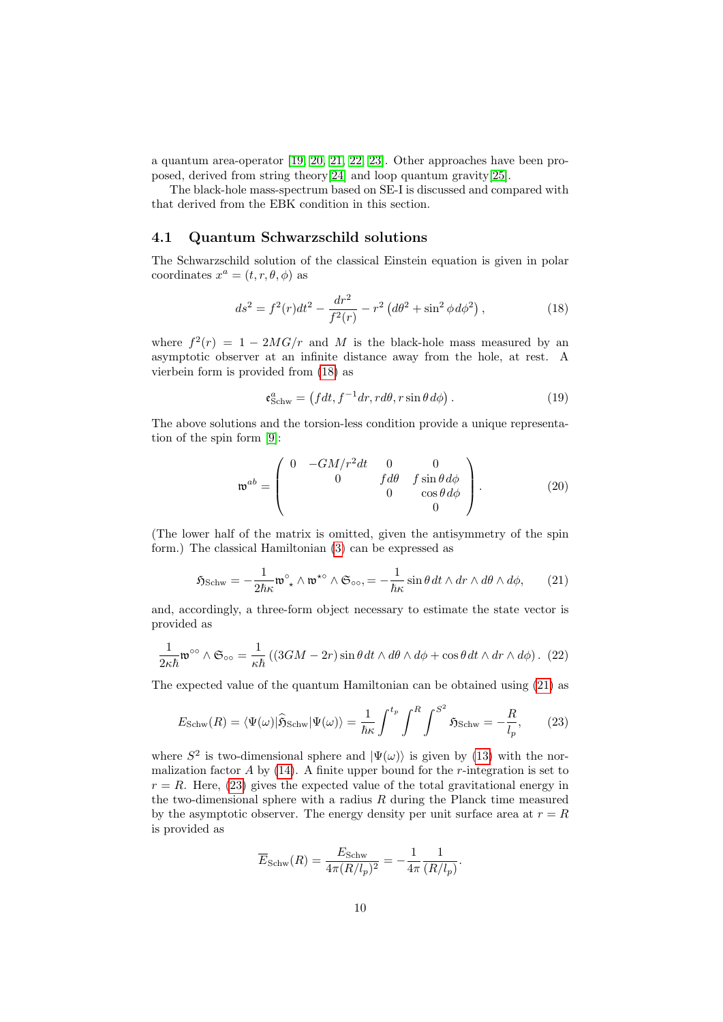a quantum area-operator [\[19,](#page-22-4) [20,](#page-22-5) [21,](#page-22-6) [22,](#page-22-7) [23\]](#page-22-8). Other approaches have been proposed, derived from string theory[\[24\]](#page-22-9) and loop quantum gravity[\[25\]](#page-22-10).

The black-hole mass-spectrum based on SE-I is discussed and compared with that derived from the EBK condition in this section.

#### <span id="page-9-4"></span>4.1 Quantum Schwarzschild solutions

The Schwarzschild solution of the classical Einstein equation is given in polar coordinates  $x^a = (t, r, \theta, \phi)$  as

$$
ds^{2} = f^{2}(r)dt^{2} - \frac{dr^{2}}{f^{2}(r)} - r^{2} \left( d\theta^{2} + \sin^{2} \phi \, d\phi^{2} \right), \tag{18}
$$

where  $f^2(r) = 1 - 2MG/r$  and M is the black-hole mass measured by an asymptotic observer at an infinite distance away from the hole, at rest. A vierbein form is provided from [\(18\)](#page-9-0) as

<span id="page-9-5"></span><span id="page-9-0"></span>
$$
\mathfrak{e}_{Schw}^a = \left( fdt, f^{-1}dr, rd\theta, r\sin\theta \, d\phi \right). \tag{19}
$$

The above solutions and the torsion-less condition provide a unique representation of the spin form [\[9\]](#page-21-8):

<span id="page-9-1"></span>
$$
\mathbf{w}^{ab} = \begin{pmatrix} 0 & -GM/r^2 dt & 0 & 0 \\ 0 & f d\theta & f \sin\theta d\phi \\ 0 & \cos\theta d\phi & 0 \end{pmatrix}.
$$
 (20)

(The lower half of the matrix is omitted, given the antisymmetry of the spin form.) The classical Hamiltonian [\(3\)](#page-3-2) can be expressed as

$$
\mathfrak{H}_{\text{Schw}} = -\frac{1}{2\hbar\kappa} \mathfrak{w}^{\circ} \wedge \mathfrak{w}^{\star\circ} \wedge \mathfrak{S}_{\circ\circ} = -\frac{1}{\hbar\kappa} \sin\theta \, dt \wedge dr \wedge d\theta \wedge d\phi, \qquad (21)
$$

and, accordingly, a three-form object necessary to estimate the state vector is provided as

$$
\frac{1}{2\kappa\hbar}\mathfrak{w}^{\circ\circ}\wedge\mathfrak{S}_{\circ\circ}=\frac{1}{\kappa\hbar}\left((3GM-2r)\sin\theta\,dt\wedge d\theta\wedge d\phi+\cos\theta\,dt\wedge dr\wedge d\phi\right). (22)
$$

The expected value of the quantum Hamiltonian can be obtained using [\(21\)](#page-9-1) as

$$
E_{\text{Schw}}(R) = \langle \Psi(\omega) | \hat{\mathfrak{H}}_{\text{Schw}} | \Psi(\omega) \rangle = \frac{1}{\hbar \kappa} \int^{t_p} \int^{R} \int^{S^2} \mathfrak{H}_{\text{Schw}} = -\frac{R}{l_p}, \qquad (23)
$$

where  $S^2$  is two-dimensional sphere and  $|\Psi(\omega)\rangle$  is given by [\(13\)](#page-7-1) with the normalization factor  $A$  by [\(14\)](#page-7-2). A finite upper bound for the *r*-integration is set to  $r = R$ . Here, [\(23\)](#page-9-2) gives the expected value of the total gravitational energy in the two-dimensional sphere with a radius  $R$  during the Planck time measured by the asymptotic observer. The energy density per unit surface area at  $r = R$ is provided as

<span id="page-9-3"></span><span id="page-9-2"></span>
$$
\overline{E}_{\text{Schw}}(R) = \frac{E_{\text{Schw}}}{4\pi (R/l_p)^2} = -\frac{1}{4\pi} \frac{1}{(R/l_p)}.
$$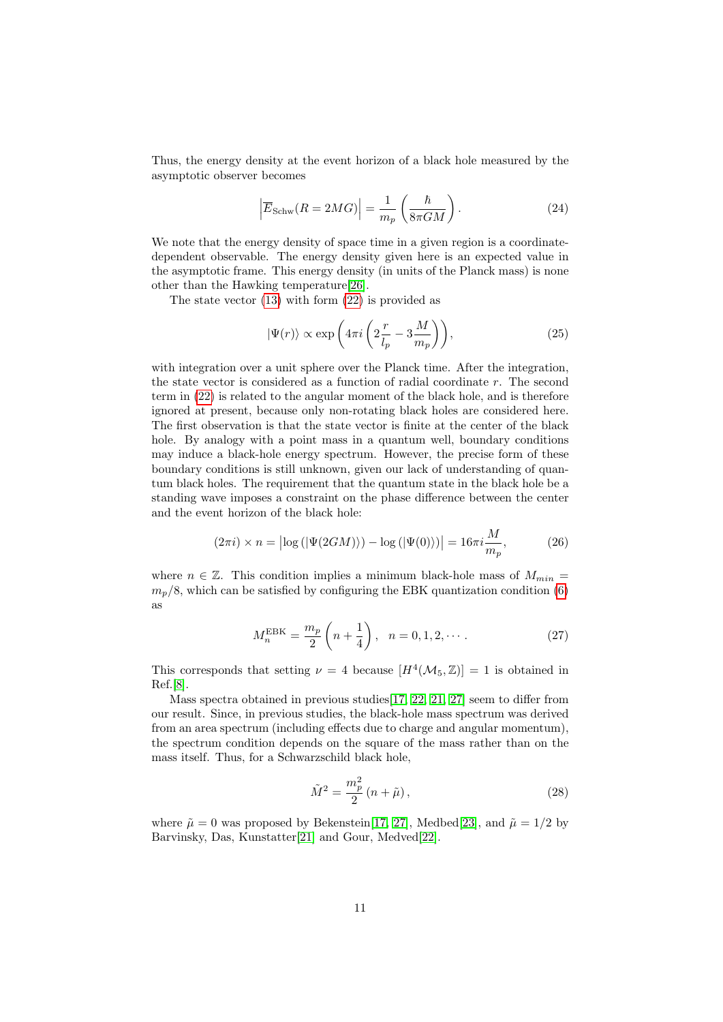Thus, the energy density at the event horizon of a black hole measured by the asymptotic observer becomes

<span id="page-10-0"></span>
$$
\left| \overline{E}_{\text{Schw}}(R=2MG) \right| = \frac{1}{m_p} \left( \frac{\hbar}{8\pi GM} \right). \tag{24}
$$

We note that the energy density of space time in a given region is a coordinatedependent observable. The energy density given here is an expected value in the asymptotic frame. This energy density (in units of the Planck mass) is none other than the Hawking temperature[\[26\]](#page-22-11).

The state vector  $(13)$  with form  $(22)$  is provided as

$$
|\Psi(r)\rangle \propto \exp\left(4\pi i \left(2\frac{r}{l_p} - 3\frac{M}{m_p}\right)\right),\tag{25}
$$

with integration over a unit sphere over the Planck time. After the integration, the state vector is considered as a function of radial coordinate  $r$ . The second term in [\(22\)](#page-9-3) is related to the angular moment of the black hole, and is therefore ignored at present, because only non-rotating black holes are considered here. The first observation is that the state vector is finite at the center of the black hole. By analogy with a point mass in a quantum well, boundary conditions may induce a black-hole energy spectrum. However, the precise form of these boundary conditions is still unknown, given our lack of understanding of quantum black holes. The requirement that the quantum state in the black hole be a standing wave imposes a constraint on the phase difference between the center and the event horizon of the black hole:

$$
(2\pi i) \times n = \left| \log \left( \left| \Psi(2GM) \right| \right) - \log \left( \left| \Psi(0) \right| \right) \right| = 16\pi i \frac{M}{m_p},\tag{26}
$$

where  $n \in \mathbb{Z}$ . This condition implies a minimum black-hole mass of  $M_{min} =$  $m_p/8$ , which can be satisfied by configuring the EBK quantization condition [\(6\)](#page-4-1) as

$$
M_n^{\text{EBK}} = \frac{m_p}{2} \left( n + \frac{1}{4} \right), \quad n = 0, 1, 2, \cdots. \tag{27}
$$

This corresponds that setting  $\nu = 4$  because  $[H^4(\mathcal{M}_5, \mathbb{Z})] = 1$  is obtained in Ref.[\[8\]](#page-21-7).

Mass spectra obtained in previous studies[\[17,](#page-22-2) [22,](#page-22-7) [21,](#page-22-6) [27\]](#page-22-12) seem to differ from our result. Since, in previous studies, the black-hole mass spectrum was derived from an area spectrum (including effects due to charge and angular momentum), the spectrum condition depends on the square of the mass rather than on the mass itself. Thus, for a Schwarzschild black hole,

<span id="page-10-1"></span>
$$
\tilde{M}^2 = \frac{m_p^2}{2} (n + \tilde{\mu}),
$$
\n(28)

where  $\tilde{\mu} = 0$  was proposed by Bekenstein[\[17,](#page-22-2) [27\]](#page-22-12), Medbed[\[23\]](#page-22-8), and  $\tilde{\mu} = 1/2$  by Barvinsky, Das, Kunstatter[\[21\]](#page-22-6) and Gour, Medved[\[22\]](#page-22-7).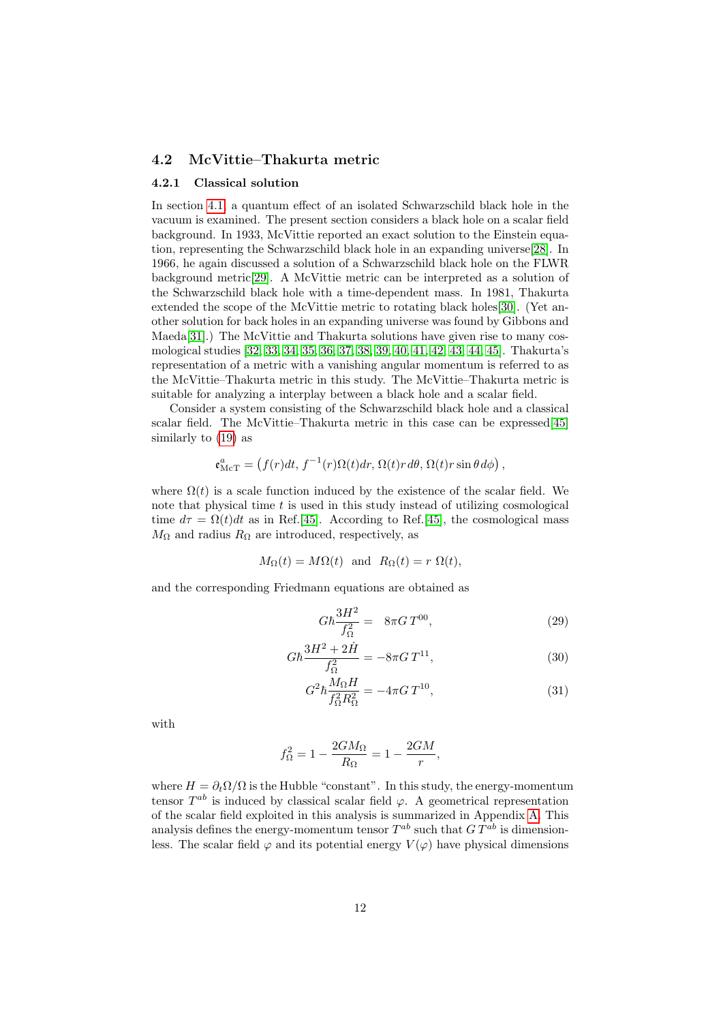#### <span id="page-11-2"></span>4.2 McVittie–Thakurta metric

#### 4.2.1 Classical solution

In section [4.1,](#page-9-4) a quantum effect of an isolated Schwarzschild black hole in the vacuum is examined. The present section considers a black hole on a scalar field background. In 1933, McVittie reported an exact solution to the Einstein equation, representing the Schwarzschild black hole in an expanding universe[\[28\]](#page-22-13). In 1966, he again discussed a solution of a Schwarzschild black hole on the FLWR background metric[\[29\]](#page-22-14). A McVittie metric can be interpreted as a solution of the Schwarzschild black hole with a time-dependent mass. In 1981, Thakurta extended the scope of the McVittie metric to rotating black holes[\[30\]](#page-23-0). (Yet another solution for back holes in an expanding universe was found by Gibbons and Maeda[\[31\]](#page-23-1).) The McVittie and Thakurta solutions have given rise to many cosmological studies [\[32,](#page-23-2) [33,](#page-23-3) [34,](#page-23-4) [35,](#page-23-5) [36,](#page-23-6) [37,](#page-23-7) [38,](#page-23-8) [39,](#page-23-9) [40,](#page-23-10) [41,](#page-23-11) [42,](#page-23-12) [43,](#page-24-0) [44,](#page-24-1) [45\]](#page-24-2). Thakurta's representation of a metric with a vanishing angular momentum is referred to as the McVittie–Thakurta metric in this study. The McVittie–Thakurta metric is suitable for analyzing a interplay between a black hole and a scalar field.

Consider a system consisting of the Schwarzschild black hole and a classical scalar field. The McVittie–Thakurta metric in this case can be expressed[\[45\]](#page-24-2) similarly to [\(19\)](#page-9-5) as

$$
\mathfrak{e}^a_{\text{McT}} = \left( f(r)dt, f^{-1}(r)\Omega(t)dr, \Omega(t)rd\theta, \Omega(t)r\sin\theta d\phi \right),
$$

where  $\Omega(t)$  is a scale function induced by the existence of the scalar field. We note that physical time  $t$  is used in this study instead of utilizing cosmological time  $d\tau = \Omega(t)dt$  as in Ref.[\[45\]](#page-24-2). According to Ref.[45], the cosmological mass  $M_{\Omega}$  and radius  $R_{\Omega}$  are introduced, respectively, as

$$
M_{\Omega}(t) = M\Omega(t)
$$
 and  $R_{\Omega}(t) = r \Omega(t)$ ,

and the corresponding Friedmann equations are obtained as

<span id="page-11-1"></span><span id="page-11-0"></span>
$$
G\hbar \frac{3H^2}{f_{\Omega}^2} = 8\pi G T^{00},\qquad (29)
$$

$$
G\hbar \frac{3H^2 + 2\dot{H}}{f_{\Omega}^2} = -8\pi G T^{11},\tag{30}
$$

$$
G^2 \hbar \frac{M_{\Omega} H}{f_{\Omega}^2 R_{\Omega}^2} = -4\pi G T^{10},\tag{31}
$$

with

$$
f_{\Omega}^2 = 1 - \frac{2GM_{\Omega}}{R_{\Omega}} = 1 - \frac{2GM}{r},
$$

where  $H = \partial_t \Omega / \Omega$  is the Hubble "constant". In this study, the energy-momentum tensor  $T^{ab}$  is induced by classical scalar field  $\varphi$ . A geometrical representation of the scalar field exploited in this analysis is summarized in Appendix [A.](#page-20-0) This analysis defines the energy-momentum tensor  $T^{ab}$  such that  $G T^{ab}$  is dimensionless. The scalar field  $\varphi$  and its potential energy  $V(\varphi)$  have physical dimensions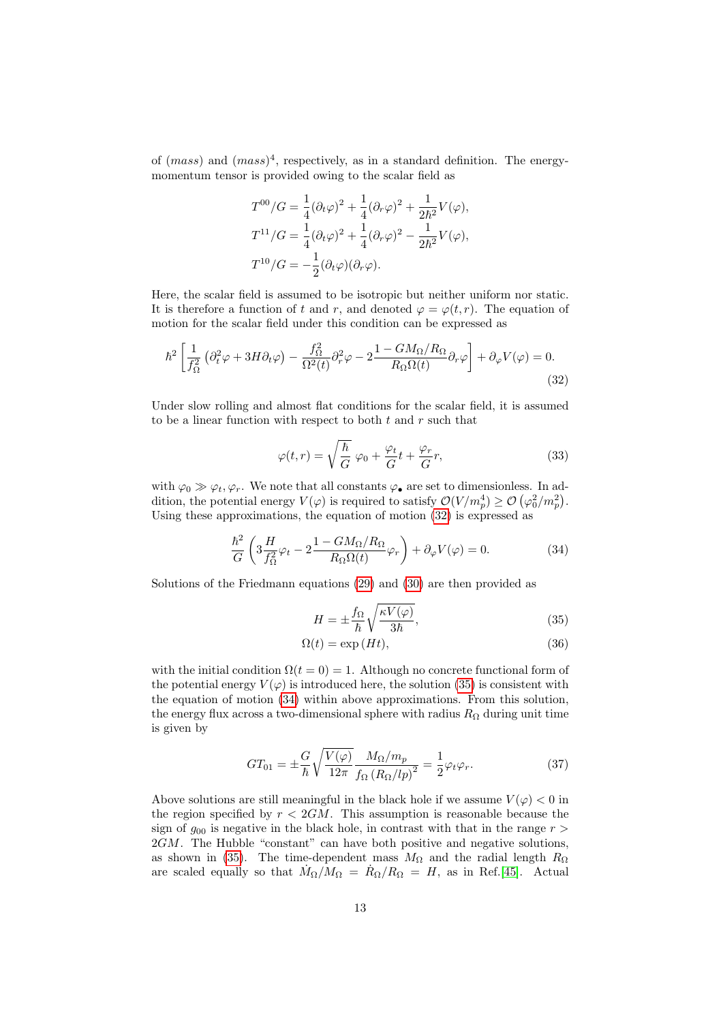of  $(mass)$  and  $(mass)^4$ , respectively, as in a standard definition. The energymomentum tensor is provided owing to the scalar field as

$$
T^{00}/G = \frac{1}{4}(\partial_t \varphi)^2 + \frac{1}{4}(\partial_r \varphi)^2 + \frac{1}{2\hbar^2}V(\varphi),
$$
  
\n
$$
T^{11}/G = \frac{1}{4}(\partial_t \varphi)^2 + \frac{1}{4}(\partial_r \varphi)^2 - \frac{1}{2\hbar^2}V(\varphi),
$$
  
\n
$$
T^{10}/G = -\frac{1}{2}(\partial_t \varphi)(\partial_r \varphi).
$$

Here, the scalar field is assumed to be isotropic but neither uniform nor static. It is therefore a function of t and r, and denoted  $\varphi = \varphi(t, r)$ . The equation of motion for the scalar field under this condition can be expressed as

$$
\hbar^2 \left[ \frac{1}{f_{\Omega}^2} \left( \partial_t^2 \varphi + 3H \partial_t \varphi \right) - \frac{f_{\Omega}^2}{\Omega^2(t)} \partial_r^2 \varphi - 2 \frac{1 - GM_{\Omega}/R_{\Omega}}{R_{\Omega} \Omega(t)} \partial_r \varphi \right] + \partial_{\varphi} V(\varphi) = 0. \tag{32}
$$

Under slow rolling and almost flat conditions for the scalar field, it is assumed to be a linear function with respect to both  $t$  and  $r$  such that

<span id="page-12-5"></span><span id="page-12-0"></span>
$$
\varphi(t,r) = \sqrt{\frac{\hbar}{G}} \varphi_0 + \frac{\varphi_t}{G} t + \frac{\varphi_r}{G} r,\tag{33}
$$

with  $\varphi_0 \gg \varphi_t, \varphi_r$ . We note that all constants  $\varphi_{\bullet}$  are set to dimensionless. In addition, the potential energy  $V(\varphi)$  is required to satisfy  $\mathcal{O}(V/m_p^4) \ge \mathcal{O}(\varphi_0^2/m_p^2)$ . Using these approximations, the equation of motion [\(32\)](#page-12-0) is expressed as

$$
\frac{\hbar^2}{G} \left( 3 \frac{H}{f_{\Omega}^2} \varphi_t - 2 \frac{1 - GM_{\Omega}/R_{\Omega}}{R_{\Omega} \Omega(t)} \varphi_r \right) + \partial_{\varphi} V(\varphi) = 0.
$$
\n(34)

Solutions of the Friedmann equations [\(29\)](#page-11-0) and [\(30\)](#page-11-1) are then provided as

<span id="page-12-4"></span><span id="page-12-2"></span><span id="page-12-1"></span>
$$
H = \pm \frac{f_{\Omega}}{\hbar} \sqrt{\frac{\kappa V(\varphi)}{3\hbar}},\tag{35}
$$

<span id="page-12-3"></span>
$$
\Omega(t) = \exp\left(Ht\right),\tag{36}
$$

with the initial condition  $\Omega(t=0) = 1$ . Although no concrete functional form of the potential energy  $V(\varphi)$  is introduced here, the solution [\(35\)](#page-12-1) is consistent with the equation of motion [\(34\)](#page-12-2) within above approximations. From this solution, the energy flux across a two-dimensional sphere with radius  $R_{\Omega}$  during unit time is given by

$$
GT_{01} = \pm \frac{G}{\hbar} \sqrt{\frac{V(\varphi)}{12\pi}} \frac{M_{\Omega}/m_p}{f_{\Omega} (R_{\Omega}/lp)^2} = \frac{1}{2} \varphi_t \varphi_r.
$$
 (37)

Above solutions are still meaningful in the black hole if we assume  $V(\varphi) < 0$  in the region specified by  $r < 2GM$ . This assumption is reasonable because the sign of  $g_{00}$  is negative in the black hole, in contrast with that in the range  $r >$  $2GM$ . The Hubble "constant" can have both positive and negative solutions, as shown in [\(35\)](#page-12-1). The time-dependent mass  $M_{\Omega}$  and the radial length  $R_{\Omega}$ are scaled equally so that  $\dot{M}_{\Omega}/M_{\Omega} = \dot{R}_{\Omega}/R_{\Omega} = H$ , as in Ref.[\[45\]](#page-24-2). Actual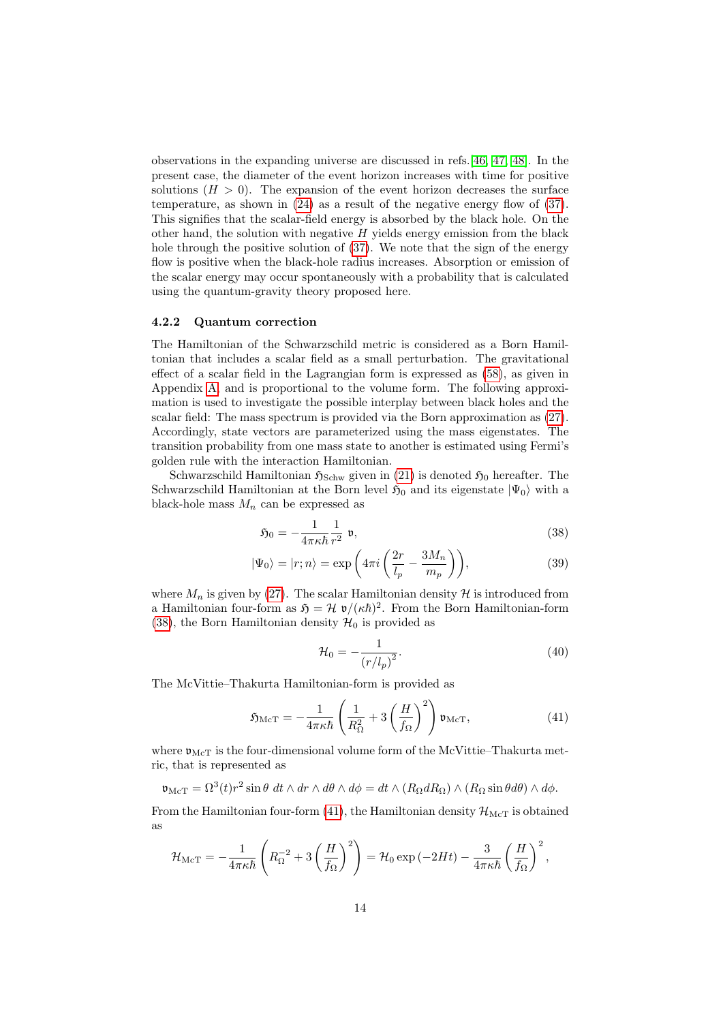observations in the expanding universe are discussed in refs.[\[46,](#page-24-3) [47,](#page-24-4) [48\]](#page-24-5). In the present case, the diameter of the event horizon increases with time for positive solutions  $(H > 0)$ . The expansion of the event horizon decreases the surface temperature, as shown in [\(24\)](#page-10-0) as a result of the negative energy flow of [\(37\)](#page-12-3). This signifies that the scalar-field energy is absorbed by the black hole. On the other hand, the solution with negative  $H$  yields energy emission from the black hole through the positive solution of [\(37\)](#page-12-3). We note that the sign of the energy flow is positive when the black-hole radius increases. Absorption or emission of the scalar energy may occur spontaneously with a probability that is calculated using the quantum-gravity theory proposed here.

#### 4.2.2 Quantum correction

The Hamiltonian of the Schwarzschild metric is considered as a Born Hamiltonian that includes a scalar field as a small perturbation. The gravitational effect of a scalar field in the Lagrangian form is expressed as [\(58\)](#page-20-1), as given in Appendix [A,](#page-20-0) and is proportional to the volume form. The following approximation is used to investigate the possible interplay between black holes and the scalar field: The mass spectrum is provided via the Born approximation as [\(27\)](#page-10-1). Accordingly, state vectors are parameterized using the mass eigenstates. The transition probability from one mass state to another is estimated using Fermi's golden rule with the interaction Hamiltonian.

Schwarzschild Hamiltonian  $\mathfrak{H}_{Schw}$  given in [\(21\)](#page-9-1) is denoted  $\mathfrak{H}_0$  hereafter. The Schwarzschild Hamiltonian at the Born level  $\mathfrak{H}_0$  and its eigenstate  $|\Psi_0\rangle$  with a black-hole mass  $M_n$  can be expressed as

$$
\mathfrak{H}_0 = -\frac{1}{4\pi\kappa\hbar} \frac{1}{r^2} \mathfrak{v},\tag{38}
$$

$$
|\Psi_0\rangle = |r; n\rangle = \exp\left(4\pi i \left(\frac{2r}{l_p} - \frac{3M_n}{m_p}\right)\right),\tag{39}
$$

where  $M_n$  is given by [\(27\)](#page-10-1). The scalar Hamiltonian density  $\mathcal H$  is introduced from a Hamiltonian four-form as  $\mathfrak{H} = \mathcal{H} \mathfrak{v}/(\kappa \hbar)^2$ . From the Born Hamiltonian-form [\(38\)](#page-13-0), the Born Hamiltonian density  $\mathcal{H}_0$  is provided as

<span id="page-13-1"></span><span id="page-13-0"></span>
$$
\mathcal{H}_0 = -\frac{1}{(r/l_p)^2}.\tag{40}
$$

The McVittie–Thakurta Hamiltonian-form is provided as

$$
\mathfrak{H}_{\text{McT}} = -\frac{1}{4\pi\kappa\hbar} \left( \frac{1}{R_{\Omega}^2} + 3 \left( \frac{H}{f_{\Omega}} \right)^2 \right) \mathfrak{v}_{\text{McT}},\tag{41}
$$

where  $\mathfrak{v}_{\text{McT}}$  is the four-dimensional volume form of the McVittie–Thakurta metric, that is represented as

$$
\mathfrak{v}_{\mathrm{McT}} = \Omega^3(t) r^2 \sin \theta \, dt \wedge dr \wedge d\theta \wedge d\phi = dt \wedge (R_{\Omega} dR_{\Omega}) \wedge (R_{\Omega} \sin \theta d\theta) \wedge d\phi.
$$

From the Hamiltonian four-form [\(41\)](#page-13-1), the Hamiltonian density  $\mathcal{H}_{\text{McT}}$  is obtained as

$$
\mathcal{H}_{\text{McT}} = -\frac{1}{4\pi\kappa\hbar} \left( R_{\Omega}^{-2} + 3\left(\frac{H}{f_{\Omega}}\right)^2 \right) = \mathcal{H}_0 \exp\left(-2Ht\right) - \frac{3}{4\pi\kappa\hbar} \left(\frac{H}{f_{\Omega}}\right)^2,
$$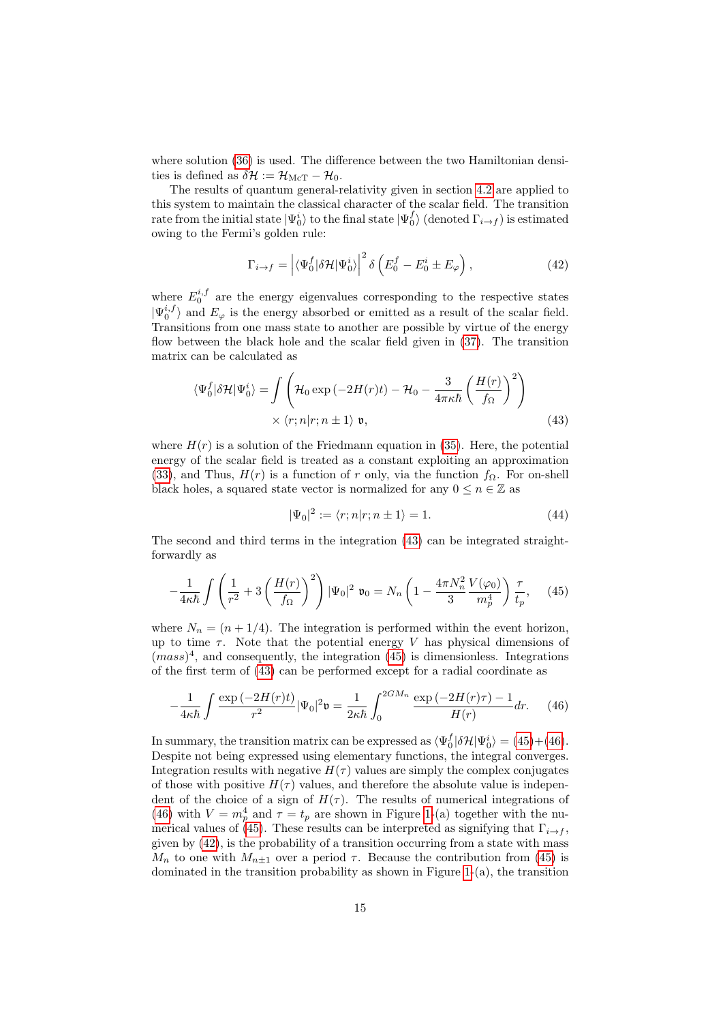where solution [\(36\)](#page-12-4) is used. The difference between the two Hamiltonian densities is defined as  $\delta \mathcal{H} := \mathcal{H}_{\text{McT}} - \mathcal{H}_0$ .

The results of quantum general-relativity given in section [4.2](#page-11-2) are applied to this system to maintain the classical character of the scalar field. The transition rate from the initial state  $|\Psi^i_0\rangle$  to the final state  $|\Psi^f_0\rangle$  (denoted  $\Gamma_{i\to f}$ ) is estimated owing to the Fermi's golden rule:

<span id="page-14-3"></span>
$$
\Gamma_{i \to f} = \left| \langle \Psi_0^f | \delta \mathcal{H} | \Psi_0^i \rangle \right|^2 \delta \left( E_0^f - E_0^i \pm E_\varphi \right), \tag{42}
$$

where  $E_0^{i,f}$  are the energy eigenvalues corresponding to the respective states  $|\Psi_0^{i,f}\rangle$  and  $E_\varphi$  is the energy absorbed or emitted as a result of the scalar field. Transitions from one mass state to another are possible by virtue of the energy flow between the black hole and the scalar field given in [\(37\)](#page-12-3). The transition matrix can be calculated as

$$
\langle \Psi_0^f | \delta \mathcal{H} | \Psi_0^i \rangle = \int \left( \mathcal{H}_0 \exp \left( -2H(r)t \right) - \mathcal{H}_0 - \frac{3}{4\pi \kappa \hbar} \left( \frac{H(r)}{f_\Omega} \right)^2 \right) \times \langle r; n | r; n \pm 1 \rangle \mathfrak{v}, \tag{43}
$$

where  $H(r)$  is a solution of the Friedmann equation in [\(35\)](#page-12-1). Here, the potential energy of the scalar field is treated as a constant exploiting an approximation [\(33\)](#page-12-5), and Thus,  $H(r)$  is a function of r only, via the function  $f_{\Omega}$ . For on-shell black holes, a squared state vector is normalized for any  $0 \le n \in \mathbb{Z}$  as

<span id="page-14-2"></span><span id="page-14-1"></span><span id="page-14-0"></span>
$$
|\Psi_0|^2 := \langle r; n|r; n \pm 1 \rangle = 1. \tag{44}
$$

The second and third terms in the integration [\(43\)](#page-14-0) can be integrated straightforwardly as

$$
-\frac{1}{4\kappa\hbar} \int \left(\frac{1}{r^2} + 3\left(\frac{H(r)}{f_{\Omega}}\right)^2\right) |\Psi_0|^2 \ \mathfrak{v}_0 = N_n \left(1 - \frac{4\pi N_n^2}{3} \frac{V(\varphi_0)}{m_p^4}\right) \frac{\tau}{t_p},\tag{45}
$$

where  $N_n = (n + 1/4)$ . The integration is performed within the event horizon, up to time  $\tau$ . Note that the potential energy V has physical dimensions of  $(mass)^4$ , and consequently, the integration [\(45\)](#page-14-1) is dimensionless. Integrations of the first term of [\(43\)](#page-14-0) can be performed except for a radial coordinate as

$$
-\frac{1}{4\kappa\hbar} \int \frac{\exp\left(-2H(r)t\right)}{r^2} |\Psi_0|^2 \mathfrak{v} = \frac{1}{2\kappa\hbar} \int_0^{2GM_n} \frac{\exp\left(-2H(r)\tau\right) - 1}{H(r)} dr. \tag{46}
$$

In summary, the transition matrix can be expressed as  $\langle \Psi_0^f | \delta \mathcal{H} | \Psi_0^i \rangle = (45) + (46)$  $\langle \Psi_0^f | \delta \mathcal{H} | \Psi_0^i \rangle = (45) + (46)$  $\langle \Psi_0^f | \delta \mathcal{H} | \Psi_0^i \rangle = (45) + (46)$  $\langle \Psi_0^f | \delta \mathcal{H} | \Psi_0^i \rangle = (45) + (46)$ . Despite not being expressed using elementary functions, the integral converges. Integration results with negative  $H(\tau)$  values are simply the complex conjugates of those with positive  $H(\tau)$  values, and therefore the absolute value is independent of the choice of a sign of  $H(\tau)$ . The results of numerical integrations of [\(46\)](#page-14-2) with  $V = m_p^4$  and  $\tau = t_p$  are shown in Figure [1-](#page-16-0)(a) together with the nu-merical values of [\(45\)](#page-14-1). These results can be interpreted as signifying that  $\Gamma_{i\rightarrow f}$ , given by [\(42\)](#page-14-3), is the probability of a transition occurring from a state with mass  $M_n$  to one with  $M_{n+1}$  over a period  $\tau$ . Because the contribution from [\(45\)](#page-14-1) is dominated in the transition probability as shown in Figure [1-](#page-16-0)(a), the transition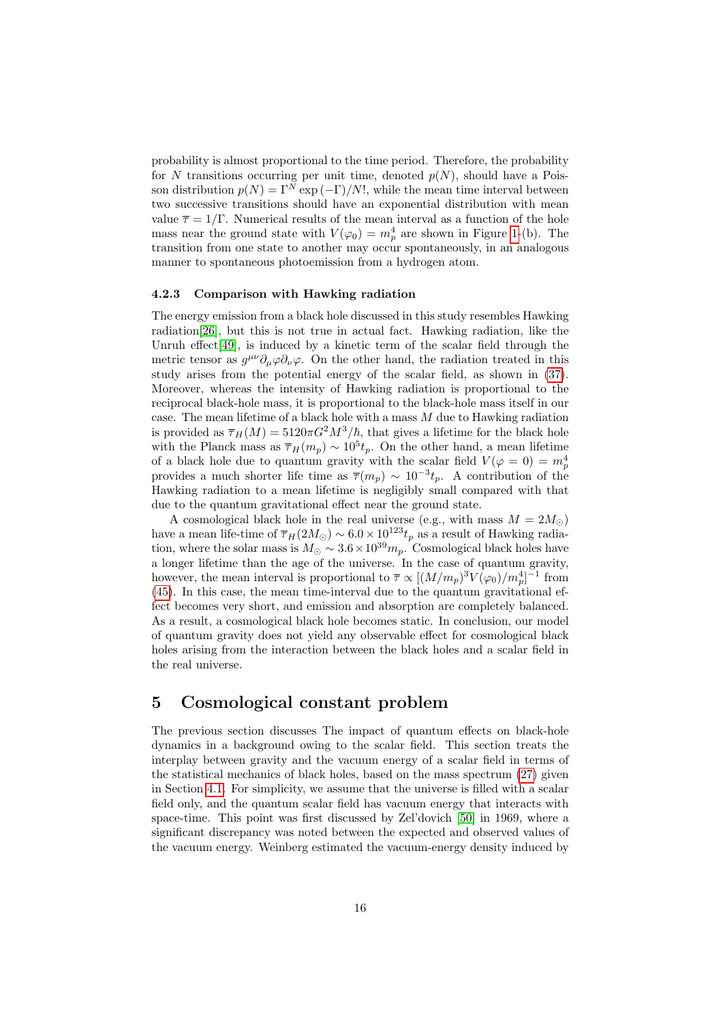probability is almost proportional to the time period. Therefore, the probability for N transitions occurring per unit time, denoted  $p(N)$ , should have a Poisson distribution  $p(N) = \Gamma^{N} \exp(-\Gamma)/N!$ , while the mean time interval between two successive transitions should have an exponential distribution with mean value  $\bar{\tau} = 1/\Gamma$ . Numerical results of the mean interval as a function of the hole mass near the ground state with  $V(\varphi_0) = m_p^4$  are shown in Figure [1-](#page-16-0)(b). The transition from one state to another may occur spontaneously, in an analogous manner to spontaneous photoemission from a hydrogen atom.

#### 4.2.3 Comparison with Hawking radiation

The energy emission from a black hole discussed in this study resembles Hawking radiation[\[26\]](#page-22-11), but this is not true in actual fact. Hawking radiation, like the Unruh effect[\[49\]](#page-24-6), is induced by a kinetic term of the scalar field through the metric tensor as  $g^{\mu\nu}\partial_{\mu}\varphi\partial_{\nu}\varphi$ . On the other hand, the radiation treated in this study arises from the potential energy of the scalar field, as shown in [\(37\)](#page-12-3). Moreover, whereas the intensity of Hawking radiation is proportional to the reciprocal black-hole mass, it is proportional to the black-hole mass itself in our case. The mean lifetime of a black hole with a mass  $M$  due to Hawking radiation is provided as  $\overline{\tau}_H(M) = 5120\pi G^2 M^3/\hbar$ , that gives a lifetime for the black hole with the Planck mass as  $\overline{\tau}_{H}(m_p) \sim 10^5 t_p$ . On the other hand, a mean lifetime of a black hole due to quantum gravity with the scalar field  $V(\varphi = 0) = m_p^4$ provides a much shorter life time as  $\overline{\tau}(m_p) \sim 10^{-3} t_p$ . A contribution of the Hawking radiation to a mean lifetime is negligibly small compared with that due to the quantum gravitational effect near the ground state.

A cosmological black hole in the real universe (e.g., with mass  $M = 2M_{\odot}$ ) have a mean life-time of  $\overline{\tau}_{H}(2M_{\odot}) \sim 6.0 \times 10^{123} t_{p}$  as a result of Hawking radiation, where the solar mass is  $M_{\odot} \sim 3.6 \times 10^{39} m_p$ . Cosmological black holes have a longer lifetime than the age of the universe. In the case of quantum gravity, however, the mean interval is proportional to  $\bar{\tau} \propto [(M/m_p)^3 V(\varphi_0)/m_p^4]^{-1}$  from [\(45\)](#page-14-1). In this case, the mean time-interval due to the quantum gravitational effect becomes very short, and emission and absorption are completely balanced. As a result, a cosmological black hole becomes static. In conclusion, our model of quantum gravity does not yield any observable effect for cosmological black holes arising from the interaction between the black holes and a scalar field in the real universe.

# <span id="page-15-0"></span>5 Cosmological constant problem

The previous section discusses The impact of quantum effects on black-hole dynamics in a background owing to the scalar field. This section treats the interplay between gravity and the vacuum energy of a scalar field in terms of the statistical mechanics of black holes, based on the mass spectrum [\(27\)](#page-10-1) given in Section [4.1.](#page-9-4) For simplicity, we assume that the universe is filled with a scalar field only, and the quantum scalar field has vacuum energy that interacts with space-time. This point was first discussed by Zel'dovich [\[50\]](#page-24-7) in 1969, where a significant discrepancy was noted between the expected and observed values of the vacuum energy. Weinberg estimated the vacuum-energy density induced by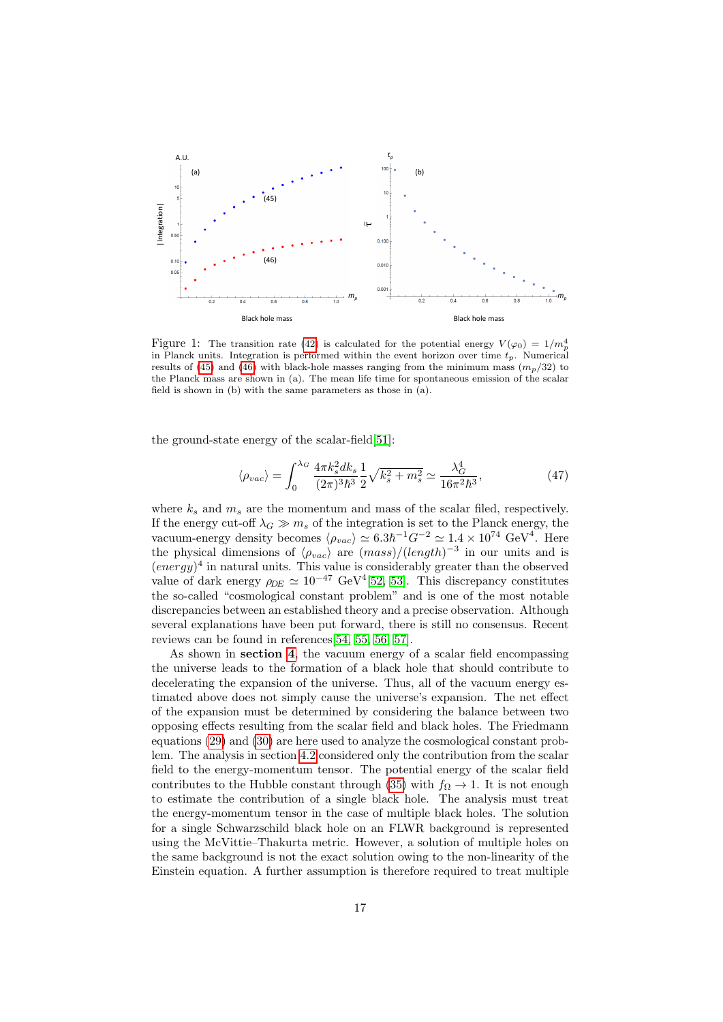

<span id="page-16-0"></span>Figure 1: The transition rate [\(42\)](#page-14-3) is calculated for the potential energy  $V(\varphi_0) = 1/m_p^4$ in Planck units. Integration is performed within the event horizon over time  $t_p$ . Numerical results of [\(45\)](#page-14-1) and [\(46\)](#page-14-2) with black-hole masses ranging from the minimum mass  $(m_p/32)$  to the Planck mass are shown in (a). The mean life time for spontaneous emission of the scalar field is shown in (b) with the same parameters as those in (a).

the ground-state energy of the scalar-field[\[51\]](#page-24-8):

<span id="page-16-1"></span>
$$
\langle \rho_{vac} \rangle = \int_0^{\lambda_G} \frac{4\pi k_s^2 dk_s}{(2\pi)^3 \hbar^3} \frac{1}{2} \sqrt{k_s^2 + m_s^2} \simeq \frac{\lambda_G^4}{16\pi^2 \hbar^3},\tag{47}
$$

where  $k_s$  and  $m_s$  are the momentum and mass of the scalar filed, respectively. If the energy cut-off  $\lambda_G \gg m_s$  of the integration is set to the Planck energy, the vacuum-energy density becomes  $\langle \rho_{vac} \rangle \simeq 6.3 \hbar^{-1} G^{-2} \simeq 1.4 \times 10^{74} \text{ GeV}^4$ . Here the physical dimensions of  $\langle \rho_{vac} \rangle$  are  $(mass)/(length)^{-3}$  in our units and is  $(energy)^4$  in natural units. This value is considerably greater than the observed value of dark energy  $\rho_{DE} \simeq 10^{-47} \text{ GeV}^4[52, 53]$  $\rho_{DE} \simeq 10^{-47} \text{ GeV}^4[52, 53]$  $\rho_{DE} \simeq 10^{-47} \text{ GeV}^4[52, 53]$ . This discrepancy constitutes the so-called "cosmological constant problem" and is one of the most notable discrepancies between an established theory and a precise observation. Although several explanations have been put forward, there is still no consensus. Recent reviews can be found in references[\[54,](#page-24-11) [55,](#page-24-12) [56,](#page-24-13) [57\]](#page-25-0).

As shown in section [4](#page-8-0), the vacuum energy of a scalar field encompassing the universe leads to the formation of a black hole that should contribute to decelerating the expansion of the universe. Thus, all of the vacuum energy estimated above does not simply cause the universe's expansion. The net effect of the expansion must be determined by considering the balance between two opposing effects resulting from the scalar field and black holes. The Friedmann equations [\(29\)](#page-11-0) and [\(30\)](#page-11-1) are here used to analyze the cosmological constant problem. The analysis in section [4.2](#page-11-2) considered only the contribution from the scalar field to the energy-momentum tensor. The potential energy of the scalar field contributes to the Hubble constant through [\(35\)](#page-12-1) with  $f_{\Omega} \rightarrow 1$ . It is not enough to estimate the contribution of a single black hole. The analysis must treat the energy-momentum tensor in the case of multiple black holes. The solution for a single Schwarzschild black hole on an FLWR background is represented using the McVittie–Thakurta metric. However, a solution of multiple holes on the same background is not the exact solution owing to the non-linearity of the Einstein equation. A further assumption is therefore required to treat multiple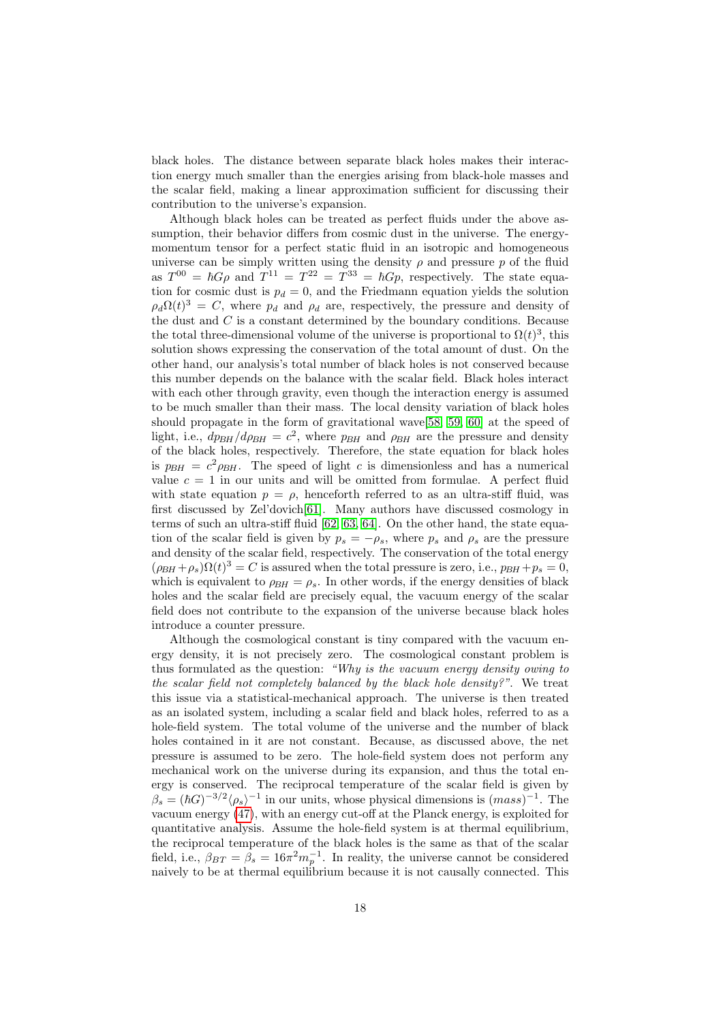black holes. The distance between separate black holes makes their interaction energy much smaller than the energies arising from black-hole masses and the scalar field, making a linear approximation sufficient for discussing their contribution to the universe's expansion.

Although black holes can be treated as perfect fluids under the above assumption, their behavior differs from cosmic dust in the universe. The energymomentum tensor for a perfect static fluid in an isotropic and homogeneous universe can be simply written using the density  $\rho$  and pressure p of the fluid as  $T^{00} = \hbar G \rho$  and  $T^{11} = T^{22} = T^{33} = \hbar G \rho$ , respectively. The state equation for cosmic dust is  $p_d = 0$ , and the Friedmann equation yields the solution  $\rho_d\Omega(t)^3 = C$ , where  $p_d$  and  $\rho_d$  are, respectively, the pressure and density of the dust and  $C$  is a constant determined by the boundary conditions. Because the total three-dimensional volume of the universe is proportional to  $\Omega(t)^3$ , this solution shows expressing the conservation of the total amount of dust. On the other hand, our analysis's total number of black holes is not conserved because this number depends on the balance with the scalar field. Black holes interact with each other through gravity, even though the interaction energy is assumed to be much smaller than their mass. The local density variation of black holes should propagate in the form of gravitational wave[\[58,](#page-25-1) [59,](#page-25-2) [60\]](#page-25-3) at the speed of light, i.e.,  $dp_{BH}/dp_{BH} = c^2$ , where  $p_{BH}$  and  $\rho_{BH}$  are the pressure and density of the black holes, respectively. Therefore, the state equation for black holes is  $p_{BH} = c^2 \rho_{BH}$ . The speed of light c is dimensionless and has a numerical value  $c = 1$  in our units and will be omitted from formulae. A perfect fluid with state equation  $p = \rho$ , henceforth referred to as an ultra-stiff fluid, was first discussed by Zel'dovich[\[61\]](#page-25-4). Many authors have discussed cosmology in terms of such an ultra-stiff fluid [\[62,](#page-25-5) [63,](#page-25-6) [64\]](#page-25-7). On the other hand, the state equation of the scalar field is given by  $p_s = -\rho_s$ , where  $p_s$  and  $\rho_s$  are the pressure and density of the scalar field, respectively. The conservation of the total energy  $(\rho_{BH} + \rho_s)\Omega(t)^3 = C$  is assured when the total pressure is zero, i.e.,  $p_{BH} + p_s = 0$ , which is equivalent to  $\rho_{BH} = \rho_s$ . In other words, if the energy densities of black holes and the scalar field are precisely equal, the vacuum energy of the scalar field does not contribute to the expansion of the universe because black holes introduce a counter pressure.

Although the cosmological constant is tiny compared with the vacuum energy density, it is not precisely zero. The cosmological constant problem is thus formulated as the question: "Why is the vacuum energy density owing to the scalar field not completely balanced by the black hole density?". We treat this issue via a statistical-mechanical approach. The universe is then treated as an isolated system, including a scalar field and black holes, referred to as a hole-field system. The total volume of the universe and the number of black holes contained in it are not constant. Because, as discussed above, the net pressure is assumed to be zero. The hole-field system does not perform any mechanical work on the universe during its expansion, and thus the total energy is conserved. The reciprocal temperature of the scalar field is given by  $\beta_s = (\hbar G)^{-3/2} \langle \rho_s \rangle^{-1}$  in our units, whose physical dimensions is  $(mass)^{-1}$ . The vacuum energy [\(47\)](#page-16-1), with an energy cut-off at the Planck energy, is exploited for quantitative analysis. Assume the hole-field system is at thermal equilibrium, the reciprocal temperature of the black holes is the same as that of the scalar field, i.e.,  $\beta_{BT} = \beta_s = 16\pi^2 m_p^{-1}$ . In reality, the universe cannot be considered naively to be at thermal equilibrium because it is not causally connected. This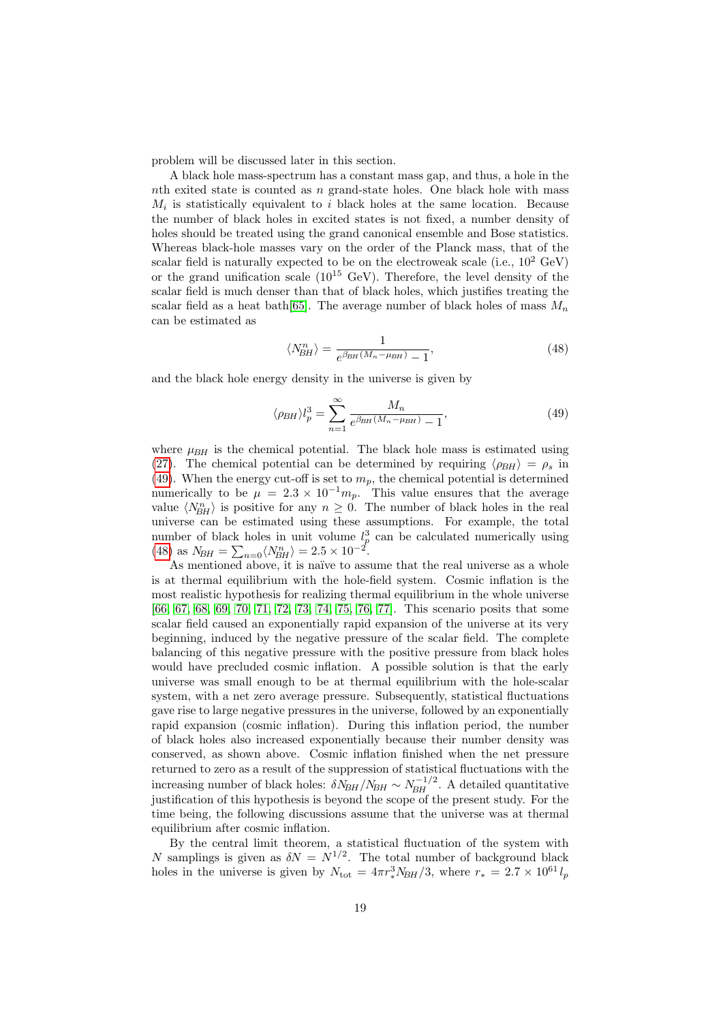problem will be discussed later in this section.

A black hole mass-spectrum has a constant mass gap, and thus, a hole in the nth exited state is counted as n grand-state holes. One black hole with mass  $M_i$  is statistically equivalent to i black holes at the same location. Because the number of black holes in excited states is not fixed, a number density of holes should be treated using the grand canonical ensemble and Bose statistics. Whereas black-hole masses vary on the order of the Planck mass, that of the scalar field is naturally expected to be on the electroweak scale (i.e.,  $10^2 \text{ GeV}$ ) or the grand unification scale  $(10^{15} \text{ GeV})$ . Therefore, the level density of the scalar field is much denser than that of black holes, which justifies treating the scalar field as a heat bath[\[65\]](#page-25-8). The average number of black holes of mass  $M_n$ can be estimated as

<span id="page-18-1"></span><span id="page-18-0"></span>
$$
\langle N_{BH}^n \rangle = \frac{1}{e^{\beta_{BH}(M_n - \mu_{BH})} - 1},\tag{48}
$$

and the black hole energy density in the universe is given by

$$
\langle \rho_{BH} \rangle l_p^3 = \sum_{n=1}^{\infty} \frac{M_n}{e^{\beta_{BH}(M_n - \mu_{BH})} - 1},\tag{49}
$$

where  $\mu_{BH}$  is the chemical potential. The black hole mass is estimated using [\(27\)](#page-10-1). The chemical potential can be determined by requiring  $\langle \rho_{BH} \rangle = \rho_s$  in [\(49\)](#page-18-0). When the energy cut-off is set to  $m_p$ , the chemical potential is determined numerically to be  $\mu = 2.3 \times 10^{-1} m_p$ . This value ensures that the average value  $\langle N_{BH}^n \rangle$  is positive for any  $n \geq 0$ . The number of black holes in the real universe can be estimated using these assumptions. For example, the total number of black holes in unit volume  $l_p^3$  can be calculated numerically using [\(48\)](#page-18-1) as  $N_{BH} = \sum_{n=0} \langle N_{BH}^n \rangle = 2.5 \times 10^{-2}$ .

As mentioned above, it is naïve to assume that the real universe as a whole is at thermal equilibrium with the hole-field system. Cosmic inflation is the most realistic hypothesis for realizing thermal equilibrium in the whole universe [\[66,](#page-25-9) [67,](#page-25-10) [68,](#page-25-11) [69,](#page-25-12) [70,](#page-25-13) [71,](#page-25-14) [72,](#page-26-0) [73,](#page-26-1) [74,](#page-26-2) [75,](#page-26-3) [76,](#page-26-4) [77\]](#page-26-5). This scenario posits that some scalar field caused an exponentially rapid expansion of the universe at its very beginning, induced by the negative pressure of the scalar field. The complete balancing of this negative pressure with the positive pressure from black holes would have precluded cosmic inflation. A possible solution is that the early universe was small enough to be at thermal equilibrium with the hole-scalar system, with a net zero average pressure. Subsequently, statistical fluctuations gave rise to large negative pressures in the universe, followed by an exponentially rapid expansion (cosmic inflation). During this inflation period, the number of black holes also increased exponentially because their number density was conserved, as shown above. Cosmic inflation finished when the net pressure returned to zero as a result of the suppression of statistical fluctuations with the increasing number of black holes:  $\delta N_{BH}/N_{BH} \sim N_{BH}^{-1/2}$ . A detailed quantitative justification of this hypothesis is beyond the scope of the present study. For the time being, the following discussions assume that the universe was at thermal equilibrium after cosmic inflation.

By the central limit theorem, a statistical fluctuation of the system with N samplings is given as  $\delta N = N^{1/2}$ . The total number of background black holes in the universe is given by  $N_{\text{tot}} = 4\pi r_*^3 N_{BH}/3$ , where  $r_* = 2.7 \times 10^{61} l_p$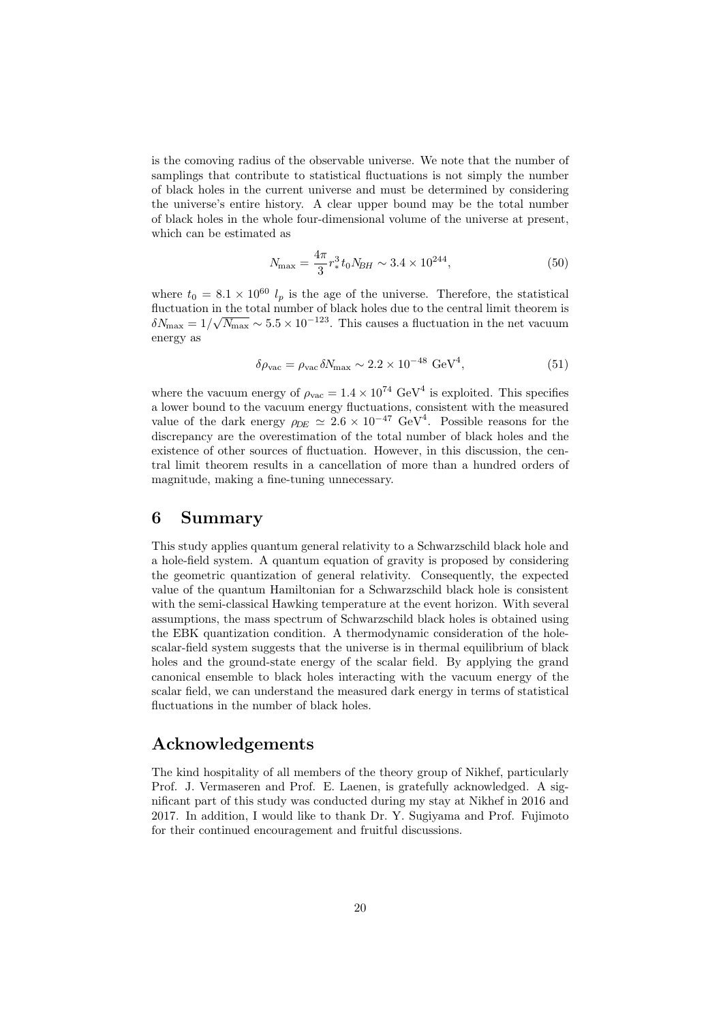is the comoving radius of the observable universe. We note that the number of samplings that contribute to statistical fluctuations is not simply the number of black holes in the current universe and must be determined by considering the universe's entire history. A clear upper bound may be the total number of black holes in the whole four-dimensional volume of the universe at present, which can be estimated as

$$
N_{\text{max}} = \frac{4\pi}{3} r_*^3 t_0 N_{BH} \sim 3.4 \times 10^{244},\tag{50}
$$

where  $t_0 = 8.1 \times 10^{60} l_p$  is the age of the universe. Therefore, the statistical fluctuation in the total number of black holes due to the central limit theorem is  $\delta N_{\text{max}} = 1/\sqrt{N_{\text{max}}} \sim 5.5 \times 10^{-123}$ . This causes a fluctuation in the net vacuum energy as

$$
\delta \rho_{\text{vac}} = \rho_{\text{vac}} \delta N_{\text{max}} \sim 2.2 \times 10^{-48} \text{ GeV}^4,\tag{51}
$$

where the vacuum energy of  $\rho_{\rm vac} = 1.4 \times 10^{74} \text{ GeV}^4$  is exploited. This specifies a lower bound to the vacuum energy fluctuations, consistent with the measured value of the dark energy  $\rho_{DE} \simeq 2.6 \times 10^{-47} \text{ GeV}^4$ . Possible reasons for the discrepancy are the overestimation of the total number of black holes and the existence of other sources of fluctuation. However, in this discussion, the central limit theorem results in a cancellation of more than a hundred orders of magnitude, making a fine-tuning unnecessary.

### <span id="page-19-0"></span>6 Summary

This study applies quantum general relativity to a Schwarzschild black hole and a hole-field system. A quantum equation of gravity is proposed by considering the geometric quantization of general relativity. Consequently, the expected value of the quantum Hamiltonian for a Schwarzschild black hole is consistent with the semi-classical Hawking temperature at the event horizon. With several assumptions, the mass spectrum of Schwarzschild black holes is obtained using the EBK quantization condition. A thermodynamic consideration of the holescalar-field system suggests that the universe is in thermal equilibrium of black holes and the ground-state energy of the scalar field. By applying the grand canonical ensemble to black holes interacting with the vacuum energy of the scalar field, we can understand the measured dark energy in terms of statistical fluctuations in the number of black holes.

## Acknowledgements

The kind hospitality of all members of the theory group of Nikhef, particularly Prof. J. Vermaseren and Prof. E. Laenen, is gratefully acknowledged. A significant part of this study was conducted during my stay at Nikhef in 2016 and 2017. In addition, I would like to thank Dr. Y. Sugiyama and Prof. Fujimoto for their continued encouragement and fruitful discussions.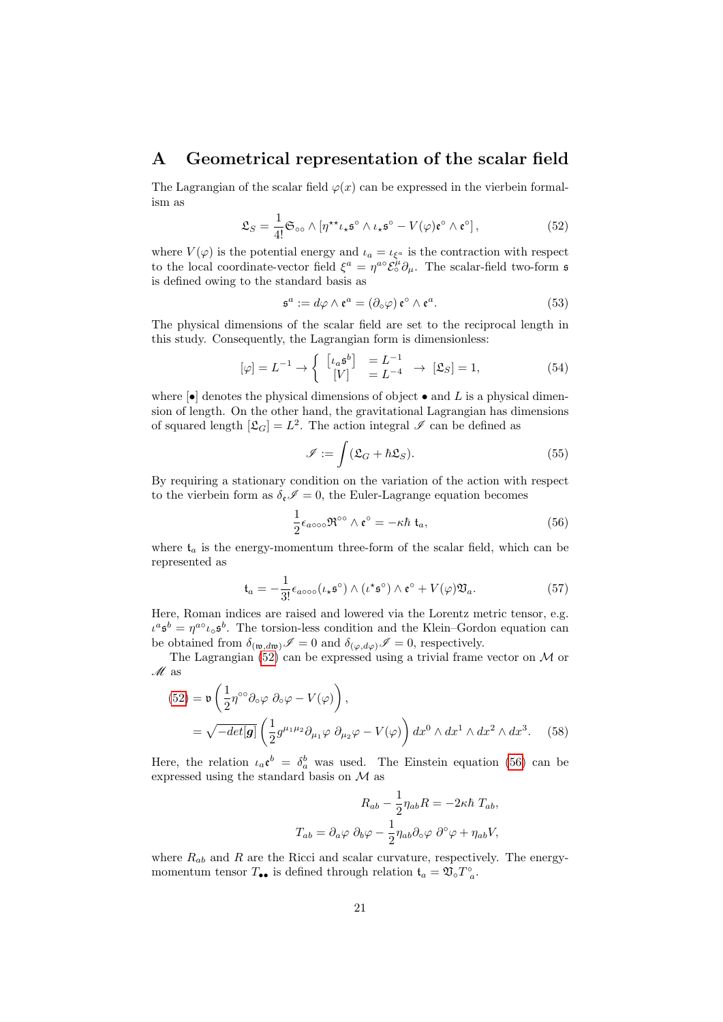## <span id="page-20-0"></span>A Geometrical representation of the scalar field

The Lagrangian of the scalar field  $\varphi(x)$  can be expressed in the vierbein formalism as

$$
\mathfrak{L}_S = \frac{1}{4!} \mathfrak{S}_{\infty} \wedge \left[ \eta^{\star \star} \iota_{\star} \mathfrak{s}^{\circ} \wedge \iota_{\star} \mathfrak{s}^{\circ} - V(\varphi) \mathfrak{e}^{\circ} \wedge \mathfrak{e}^{\circ} \right],
$$
 (52)

where  $V(\varphi)$  is the potential energy and  $\iota_a = \iota_{\xi^a}$  is the contraction with respect to the local coordinate-vector field  $\xi^a = \eta^{a\circ} \xi^{\mu} \partial_{\mu}$ . The scalar-field two-form s is defined owing to the standard basis as

<span id="page-20-2"></span>
$$
\mathfrak{s}^a := d\varphi \wedge \mathfrak{e}^a = (\partial_\circ \varphi) \mathfrak{e}^\circ \wedge \mathfrak{e}^a. \tag{53}
$$

The physical dimensions of the scalar field are set to the reciprocal length in this study. Consequently, the Lagrangian form is dimensionless:

$$
[\varphi] = L^{-1} \rightarrow \begin{cases} \begin{bmatrix} \iota_a \mathfrak{s}^b \end{bmatrix} &= L^{-1} \\ \begin{bmatrix} V \end{bmatrix} &= L^{-4} \end{cases} \rightarrow [\mathfrak{L}_S] = 1,\end{cases} \tag{54}
$$

where  $\left[\bullet\right]$  denotes the physical dimensions of object  $\bullet$  and L is a physical dimension of length. On the other hand, the gravitational Lagrangian has dimensions of squared length  $[\mathfrak{L}_G] = L^2$ . The action integral  $\mathscr I$  can be defined as

<span id="page-20-3"></span>
$$
\mathscr{I} := \int (\mathfrak{L}_G + \hbar \mathfrak{L}_S). \tag{55}
$$

By requiring a stationary condition on the variation of the action with respect to the vierbein form as  $\delta_{\mathfrak{e}} \mathscr{I} = 0$ , the Euler-Lagrange equation becomes

$$
\frac{1}{2}\epsilon_{a\circ\circ\circ}\mathfrak{R}^{\circ\circ}\wedge\mathfrak{e}^{\circ}=-\kappa\hbar\,\mathfrak{t}_a,\tag{56}
$$

where  $\mathfrak{t}_a$  is the energy-momentum three-form of the scalar field, which can be represented as

$$
\mathfrak{t}_a = -\frac{1}{3!} \epsilon_{a\circ\circ\circ} (\iota_* \mathfrak{s}^\circ) \wedge (\iota^* \mathfrak{s}^\circ) \wedge \mathfrak{e}^\circ + V(\varphi) \mathfrak{V}_a.
$$
 (57)

Here, Roman indices are raised and lowered via the Lorentz metric tensor, e.g.  $\iota^a \mathfrak{s}^b = \eta^{a} \iota_{\circ} \mathfrak{s}^b$ . The torsion-less condition and the Klein–Gordon equation can be obtained from  $\delta_{(\mathfrak{w},d\mathfrak{w})}\mathscr{I}=0$  and  $\delta_{(\varphi,d\varphi)}\mathscr{I}=0$ , respectively.

The Lagrangian  $(52)$  can be expressed using a trivial frame vector on M or  $\mathcal M$  as

$$
(52) = \mathfrak{v} \left( \frac{1}{2} \eta^{\circ \circ} \partial_{\circ} \varphi \partial_{\circ} \varphi - V(\varphi) \right),
$$
  
=  $\sqrt{-det[\mathbf{g}]} \left( \frac{1}{2} g^{\mu_1 \mu_2} \partial_{\mu_1} \varphi \partial_{\mu_2} \varphi - V(\varphi) \right) dx^0 \wedge dx^1 \wedge dx^2 \wedge dx^3.$  (58)

Here, the relation  $\iota_a \mathfrak{e}^b = \delta_a^b$  was used. The Einstein equation [\(56\)](#page-20-3) can be expressed using the standard basis on M as

<span id="page-20-1"></span>
$$
R_{ab} - \frac{1}{2} \eta_{ab} R = -2\kappa \hbar T_{ab},
$$
  

$$
T_{ab} = \partial_a \varphi \partial_b \varphi - \frac{1}{2} \eta_{ab} \partial_c \varphi \partial^{\circ} \varphi + \eta_{ab} V,
$$

where  $R_{ab}$  and R are the Ricci and scalar curvature, respectively. The energymomentum tensor  $T_{\bullet \bullet}$  is defined through relation  $\mathfrak{t}_a = \mathfrak{V}^{\circ}_a T^{\circ}_a$ .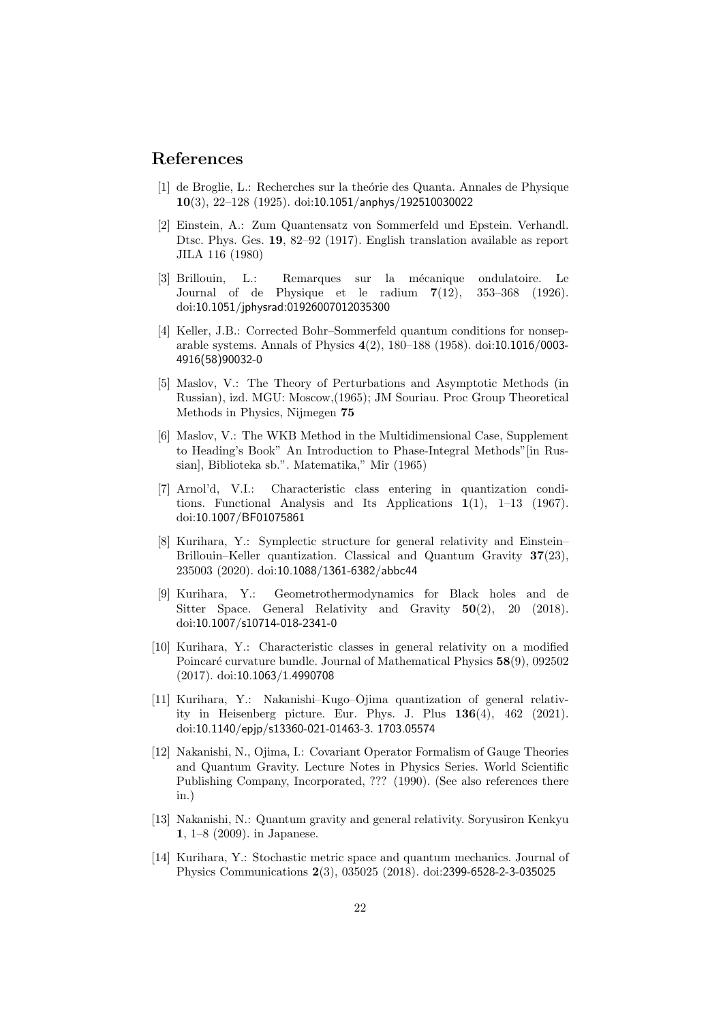## References

- <span id="page-21-0"></span>[1] de Broglie, L.: Recherches sur la theórie des Quanta. Annales de Physique 10(3), 22–128 (1925). doi:10.1051/anphys/192510030022
- <span id="page-21-1"></span>[2] Einstein, A.: Zum Quantensatz von Sommerfeld und Epstein. Verhandl. Dtsc. Phys. Ges. 19, 82–92 (1917). English translation available as report JILA 116 (1980)
- <span id="page-21-2"></span>[3] Brillouin, L.: Remarques sur la mécanique ondulatoire. Le Journal of de Physique et le radium 7(12), 353–368 (1926). doi:10.1051/jphysrad:01926007012035300
- <span id="page-21-3"></span>[4] Keller, J.B.: Corrected Bohr–Sommerfeld quantum conditions for nonseparable systems. Annals of Physics 4(2), 180–188 (1958). doi:10.1016/0003- 4916(58)90032-0
- <span id="page-21-4"></span>[5] Maslov, V.: The Theory of Perturbations and Asymptotic Methods (in Russian), izd. MGU: Moscow,(1965); JM Souriau. Proc Group Theoretical Methods in Physics, Nijmegen 75
- <span id="page-21-5"></span>[6] Maslov, V.: The WKB Method in the Multidimensional Case, Supplement to Heading's Book" An Introduction to Phase-Integral Methods"[in Russian], Biblioteka sb.". Matematika," Mir (1965)
- <span id="page-21-6"></span>[7] Arnol'd, V.I.: Characteristic class entering in quantization conditions. Functional Analysis and Its Applications  $1(1)$ ,  $1-13$   $(1967)$ . doi:10.1007/BF01075861
- <span id="page-21-7"></span>[8] Kurihara, Y.: Symplectic structure for general relativity and Einstein– Brillouin–Keller quantization. Classical and Quantum Gravity 37(23), 235003 (2020). doi:10.1088/1361-6382/abbc44
- <span id="page-21-8"></span>[9] Kurihara, Y.: Geometrothermodynamics for Black holes and de Sitter Space. General Relativity and Gravity 50(2), 20 (2018). doi:10.1007/s10714-018-2341-0
- <span id="page-21-9"></span>[10] Kurihara, Y.: Characteristic classes in general relativity on a modified Poincaré curvature bundle. Journal of Mathematical Physics  $58(9)$ , 092502 (2017). doi:10.1063/1.4990708
- <span id="page-21-10"></span>[11] Kurihara, Y.: Nakanishi–Kugo–Ojima quantization of general relativity in Heisenberg picture. Eur. Phys. J. Plus  $136(4)$ ,  $462$  (2021). doi:10.1140/epjp/s13360-021-01463-3. 1703.05574
- <span id="page-21-11"></span>[12] Nakanishi, N., Ojima, I.: Covariant Operator Formalism of Gauge Theories and Quantum Gravity. Lecture Notes in Physics Series. World Scientific Publishing Company, Incorporated, ??? (1990). (See also references there in.)
- <span id="page-21-12"></span>[13] Nakanishi, N.: Quantum gravity and general relativity. Soryusiron Kenkyu 1, 1–8 (2009). in Japanese.
- <span id="page-21-13"></span>[14] Kurihara, Y.: Stochastic metric space and quantum mechanics. Journal of Physics Communications 2(3), 035025 (2018). doi:2399-6528-2-3-035025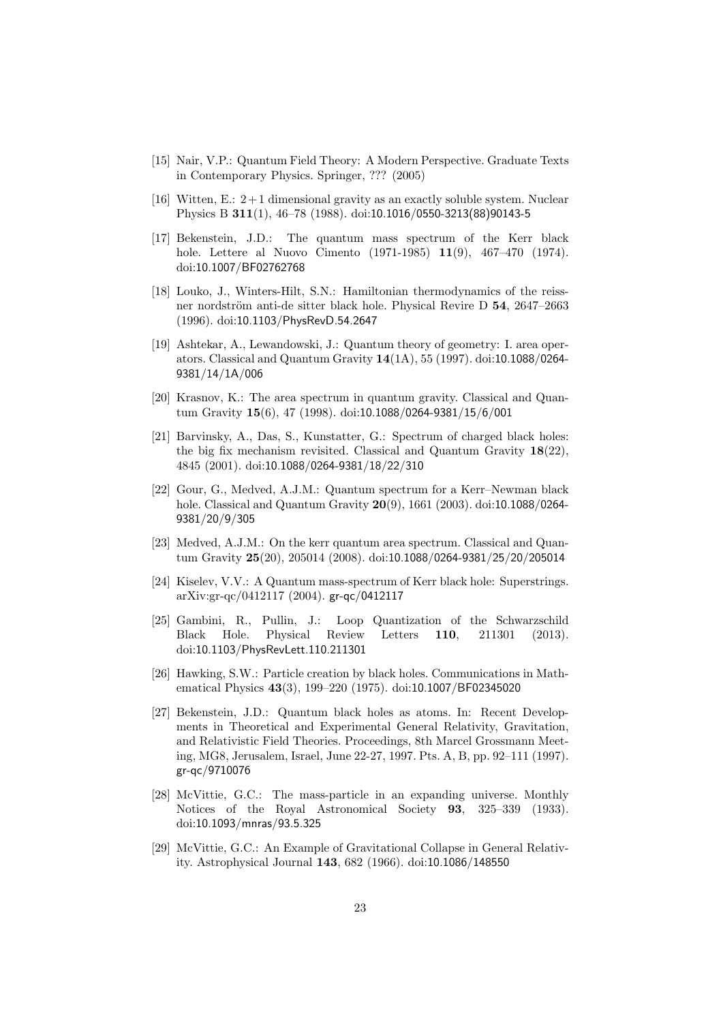- <span id="page-22-0"></span>[15] Nair, V.P.: Quantum Field Theory: A Modern Perspective. Graduate Texts in Contemporary Physics. Springer, ??? (2005)
- <span id="page-22-1"></span>[16] Witten, E.:  $2+1$  dimensional gravity as an exactly soluble system. Nuclear Physics B 311(1), 46–78 (1988). doi:10.1016/0550-3213(88)90143-5
- <span id="page-22-2"></span>[17] Bekenstein, J.D.: The quantum mass spectrum of the Kerr black hole. Lettere al Nuovo Cimento (1971-1985) 11(9), 467–470 (1974). doi:10.1007/BF02762768
- <span id="page-22-3"></span>[18] Louko, J., Winters-Hilt, S.N.: Hamiltonian thermodynamics of the reissner nordström anti-de sitter black hole. Physical Revire D 54, 2647–2663 (1996). doi:10.1103/PhysRevD.54.2647
- <span id="page-22-4"></span>[19] Ashtekar, A., Lewandowski, J.: Quantum theory of geometry: I. area operators. Classical and Quantum Gravity 14(1A), 55 (1997). doi:10.1088/0264- 9381/14/1A/006
- <span id="page-22-5"></span>[20] Krasnov, K.: The area spectrum in quantum gravity. Classical and Quantum Gravity 15(6), 47 (1998). doi:10.1088/0264-9381/15/6/001
- <span id="page-22-6"></span>[21] Barvinsky, A., Das, S., Kunstatter, G.: Spectrum of charged black holes: the big fix mechanism revisited. Classical and Quantum Gravity  $18(22)$ , 4845 (2001). doi:10.1088/0264-9381/18/22/310
- <span id="page-22-7"></span>[22] Gour, G., Medved, A.J.M.: Quantum spectrum for a Kerr–Newman black hole. Classical and Quantum Gravity 20(9), 1661 (2003). doi:10.1088/0264- 9381/20/9/305
- <span id="page-22-8"></span>[23] Medved, A.J.M.: On the kerr quantum area spectrum. Classical and Quantum Gravity 25(20), 205014 (2008). doi:10.1088/0264-9381/25/20/205014
- <span id="page-22-9"></span>[24] Kiselev, V.V.: A Quantum mass-spectrum of Kerr black hole: Superstrings. arXiv:gr-qc/0412117 (2004). gr-qc/0412117
- <span id="page-22-10"></span>[25] Gambini, R., Pullin, J.: Loop Quantization of the Schwarzschild Black Hole. Physical Review Letters 110, 211301 (2013). doi:10.1103/PhysRevLett.110.211301
- <span id="page-22-11"></span>[26] Hawking, S.W.: Particle creation by black holes. Communications in Mathematical Physics 43(3), 199–220 (1975). doi:10.1007/BF02345020
- <span id="page-22-12"></span>[27] Bekenstein, J.D.: Quantum black holes as atoms. In: Recent Developments in Theoretical and Experimental General Relativity, Gravitation, and Relativistic Field Theories. Proceedings, 8th Marcel Grossmann Meeting, MG8, Jerusalem, Israel, June 22-27, 1997. Pts. A, B, pp. 92–111 (1997). gr-qc/9710076
- <span id="page-22-13"></span>[28] McVittie, G.C.: The mass-particle in an expanding universe. Monthly Notices of the Royal Astronomical Society 93, 325–339 (1933). doi:10.1093/mnras/93.5.325
- <span id="page-22-14"></span>[29] McVittie, G.C.: An Example of Gravitational Collapse in General Relativity. Astrophysical Journal 143, 682 (1966). doi:10.1086/148550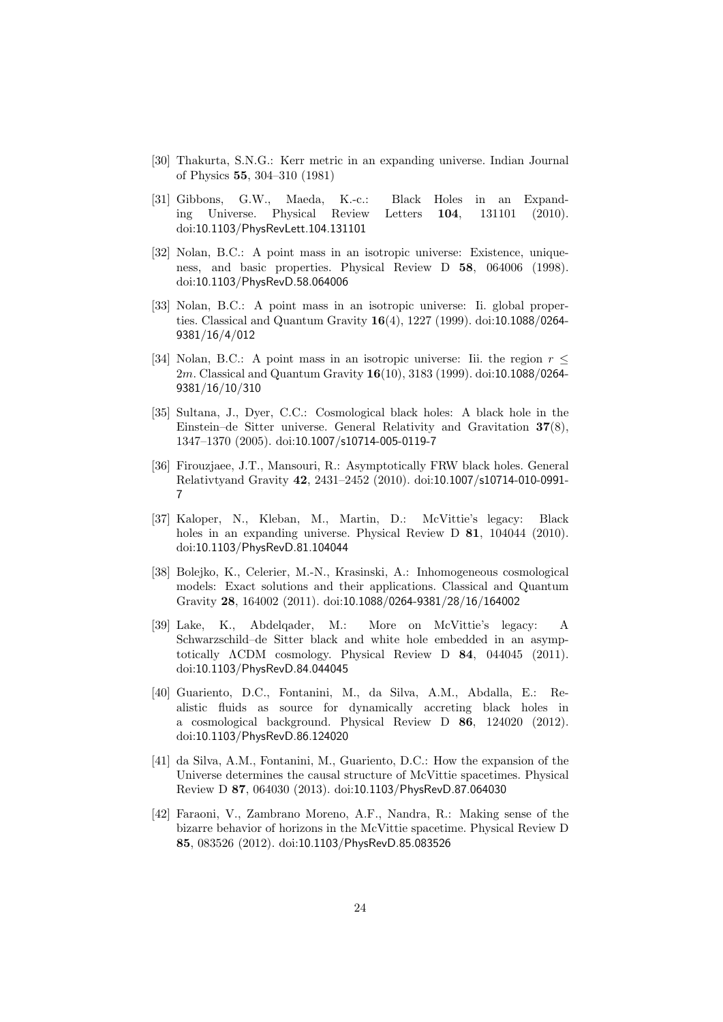- <span id="page-23-0"></span>[30] Thakurta, S.N.G.: Kerr metric in an expanding universe. Indian Journal of Physics 55, 304–310 (1981)
- <span id="page-23-1"></span>[31] Gibbons, G.W., Maeda, K.-c.: Black Holes in an Expanding Universe. Physical Review Letters 104, 131101 (2010). doi:10.1103/PhysRevLett.104.131101
- <span id="page-23-2"></span>[32] Nolan, B.C.: A point mass in an isotropic universe: Existence, uniqueness, and basic properties. Physical Review D 58, 064006 (1998). doi:10.1103/PhysRevD.58.064006
- <span id="page-23-3"></span>[33] Nolan, B.C.: A point mass in an isotropic universe: Ii. global properties. Classical and Quantum Gravity 16(4), 1227 (1999). doi:10.1088/0264- 9381/16/4/012
- <span id="page-23-4"></span>[34] Nolan, B.C.: A point mass in an isotropic universe: Iii. the region  $r \leq$ 2m. Classical and Quantum Gravity 16(10), 3183 (1999). doi:10.1088/0264- 9381/16/10/310
- <span id="page-23-5"></span>[35] Sultana, J., Dyer, C.C.: Cosmological black holes: A black hole in the Einstein–de Sitter universe. General Relativity and Gravitation 37(8), 1347–1370 (2005). doi:10.1007/s10714-005-0119-7
- <span id="page-23-6"></span>[36] Firouzjaee, J.T., Mansouri, R.: Asymptotically FRW black holes. General Relativtyand Gravity 42, 2431–2452 (2010). doi:10.1007/s10714-010-0991- 7
- <span id="page-23-7"></span>[37] Kaloper, N., Kleban, M., Martin, D.: McVittie's legacy: Black holes in an expanding universe. Physical Review D **81**, 104044 (2010). doi:10.1103/PhysRevD.81.104044
- <span id="page-23-8"></span>[38] Bolejko, K., Celerier, M.-N., Krasinski, A.: Inhomogeneous cosmological models: Exact solutions and their applications. Classical and Quantum Gravity 28, 164002 (2011). doi:10.1088/0264-9381/28/16/164002
- <span id="page-23-9"></span>[39] Lake, K., Abdelqader, M.: More on McVittie's legacy: A Schwarzschild–de Sitter black and white hole embedded in an asymptotically ΛCDM cosmology. Physical Review D 84, 044045 (2011). doi:10.1103/PhysRevD.84.044045
- <span id="page-23-10"></span>[40] Guariento, D.C., Fontanini, M., da Silva, A.M., Abdalla, E.: Realistic fluids as source for dynamically accreting black holes in a cosmological background. Physical Review D 86, 124020 (2012). doi:10.1103/PhysRevD.86.124020
- <span id="page-23-11"></span>[41] da Silva, A.M., Fontanini, M., Guariento, D.C.: How the expansion of the Universe determines the causal structure of McVittie spacetimes. Physical Review D 87, 064030 (2013). doi:10.1103/PhysRevD.87.064030
- <span id="page-23-12"></span>[42] Faraoni, V., Zambrano Moreno, A.F., Nandra, R.: Making sense of the bizarre behavior of horizons in the McVittie spacetime. Physical Review D 85, 083526 (2012). doi:10.1103/PhysRevD.85.083526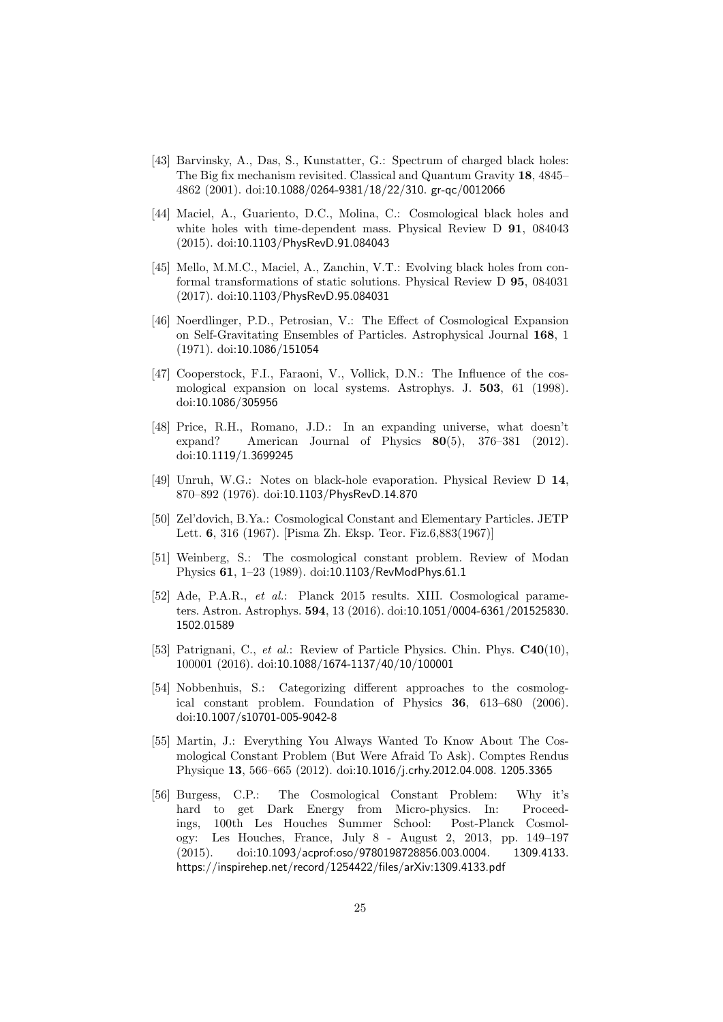- <span id="page-24-0"></span>[43] Barvinsky, A., Das, S., Kunstatter, G.: Spectrum of charged black holes: The Big fix mechanism revisited. Classical and Quantum Gravity 18, 4845– 4862 (2001). doi:10.1088/0264-9381/18/22/310. gr-qc/0012066
- <span id="page-24-1"></span>[44] Maciel, A., Guariento, D.C., Molina, C.: Cosmological black holes and white holes with time-dependent mass. Physical Review D 91, 084043 (2015). doi:10.1103/PhysRevD.91.084043
- <span id="page-24-2"></span>[45] Mello, M.M.C., Maciel, A., Zanchin, V.T.: Evolving black holes from conformal transformations of static solutions. Physical Review D 95, 084031 (2017). doi:10.1103/PhysRevD.95.084031
- <span id="page-24-3"></span>[46] Noerdlinger, P.D., Petrosian, V.: The Effect of Cosmological Expansion on Self-Gravitating Ensembles of Particles. Astrophysical Journal 168, 1 (1971). doi:10.1086/151054
- <span id="page-24-4"></span>[47] Cooperstock, F.I., Faraoni, V., Vollick, D.N.: The Influence of the cosmological expansion on local systems. Astrophys. J. 503, 61 (1998). doi:10.1086/305956
- <span id="page-24-5"></span>[48] Price, R.H., Romano, J.D.: In an expanding universe, what doesn't expand? American Journal of Physics 80(5), 376–381 (2012). doi:10.1119/1.3699245
- <span id="page-24-6"></span>[49] Unruh, W.G.: Notes on black-hole evaporation. Physical Review D 14, 870–892 (1976). doi:10.1103/PhysRevD.14.870
- <span id="page-24-7"></span>[50] Zel'dovich, B.Ya.: Cosmological Constant and Elementary Particles. JETP Lett. 6, 316 (1967). [Pisma Zh. Eksp. Teor. Fiz.6,883(1967)]
- <span id="page-24-8"></span>[51] Weinberg, S.: The cosmological constant problem. Review of Modan Physics 61, 1–23 (1989). doi:10.1103/RevModPhys.61.1
- <span id="page-24-9"></span>[52] Ade, P.A.R., et al.: Planck 2015 results. XIII. Cosmological parameters. Astron. Astrophys. 594, 13 (2016). doi:10.1051/0004-6361/201525830. 1502.01589
- <span id="page-24-10"></span>[53] Patrignani, C., et al.: Review of Particle Physics. Chin. Phys. C40(10), 100001 (2016). doi:10.1088/1674-1137/40/10/100001
- <span id="page-24-11"></span>[54] Nobbenhuis, S.: Categorizing different approaches to the cosmological constant problem. Foundation of Physics 36, 613–680 (2006). doi:10.1007/s10701-005-9042-8
- <span id="page-24-12"></span>[55] Martin, J.: Everything You Always Wanted To Know About The Cosmological Constant Problem (But Were Afraid To Ask). Comptes Rendus Physique 13, 566–665 (2012). doi:10.1016/j.crhy.2012.04.008. 1205.3365
- <span id="page-24-13"></span>[56] Burgess, C.P.: The Cosmological Constant Problem: Why it's hard to get Dark Energy from Micro-physics. In: Proceedings, 100th Les Houches Summer School: Post-Planck Cosmology: Les Houches, France, July 8 - August 2, 2013, pp. 149–197 (2015). doi:10.1093/acprof:oso/9780198728856.003.0004. 1309.4133. https://inspirehep.net/record/1254422/files/arXiv:1309.4133.pdf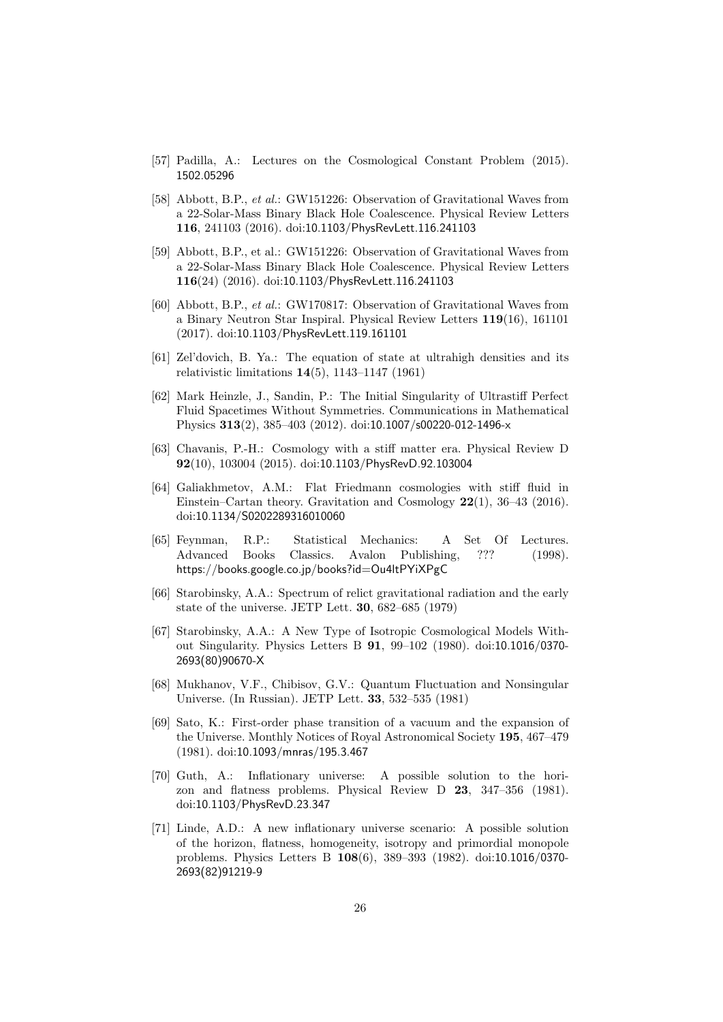- <span id="page-25-0"></span>[57] Padilla, A.: Lectures on the Cosmological Constant Problem (2015). 1502.05296
- <span id="page-25-1"></span>[58] Abbott, B.P., et al.: GW151226: Observation of Gravitational Waves from a 22-Solar-Mass Binary Black Hole Coalescence. Physical Review Letters 116, 241103 (2016). doi:10.1103/PhysRevLett.116.241103
- <span id="page-25-2"></span>[59] Abbott, B.P., et al.: GW151226: Observation of Gravitational Waves from a 22-Solar-Mass Binary Black Hole Coalescence. Physical Review Letters 116(24) (2016). doi:10.1103/PhysRevLett.116.241103
- <span id="page-25-3"></span>[60] Abbott, B.P., et al.: GW170817: Observation of Gravitational Waves from a Binary Neutron Star Inspiral. Physical Review Letters 119(16), 161101 (2017). doi:10.1103/PhysRevLett.119.161101
- <span id="page-25-4"></span>[61] Zel'dovich, B. Ya.: The equation of state at ultrahigh densities and its relativistic limitations 14(5), 1143–1147 (1961)
- <span id="page-25-5"></span>[62] Mark Heinzle, J., Sandin, P.: The Initial Singularity of Ultrastiff Perfect Fluid Spacetimes Without Symmetries. Communications in Mathematical Physics 313(2), 385–403 (2012). doi:10.1007/s00220-012-1496-x
- <span id="page-25-6"></span>[63] Chavanis, P.-H.: Cosmology with a stiff matter era. Physical Review D 92(10), 103004 (2015). doi:10.1103/PhysRevD.92.103004
- <span id="page-25-7"></span>[64] Galiakhmetov, A.M.: Flat Friedmann cosmologies with stiff fluid in Einstein–Cartan theory. Gravitation and Cosmology 22(1), 36–43 (2016). doi:10.1134/S0202289316010060
- <span id="page-25-8"></span>[65] Feynman, R.P.: Statistical Mechanics: A Set Of Lectures. Advanced Books Classics. Avalon Publishing, ??? (1998). https://books.google.co.jp/books?id=Ou4ltPYiXPgC
- <span id="page-25-9"></span>[66] Starobinsky, A.A.: Spectrum of relict gravitational radiation and the early state of the universe. JETP Lett. 30, 682–685 (1979)
- <span id="page-25-10"></span>[67] Starobinsky, A.A.: A New Type of Isotropic Cosmological Models Without Singularity. Physics Letters B 91, 99–102 (1980). doi:10.1016/0370- 2693(80)90670-X
- <span id="page-25-11"></span>[68] Mukhanov, V.F., Chibisov, G.V.: Quantum Fluctuation and Nonsingular Universe. (In Russian). JETP Lett. 33, 532–535 (1981)
- <span id="page-25-12"></span>[69] Sato, K.: First-order phase transition of a vacuum and the expansion of the Universe. Monthly Notices of Royal Astronomical Society 195, 467–479 (1981). doi:10.1093/mnras/195.3.467
- <span id="page-25-13"></span>[70] Guth, A.: Inflationary universe: A possible solution to the horizon and flatness problems. Physical Review D 23, 347–356 (1981). doi:10.1103/PhysRevD.23.347
- <span id="page-25-14"></span>[71] Linde, A.D.: A new inflationary universe scenario: A possible solution of the horizon, flatness, homogeneity, isotropy and primordial monopole problems. Physics Letters B 108(6), 389–393 (1982). doi:10.1016/0370- 2693(82)91219-9